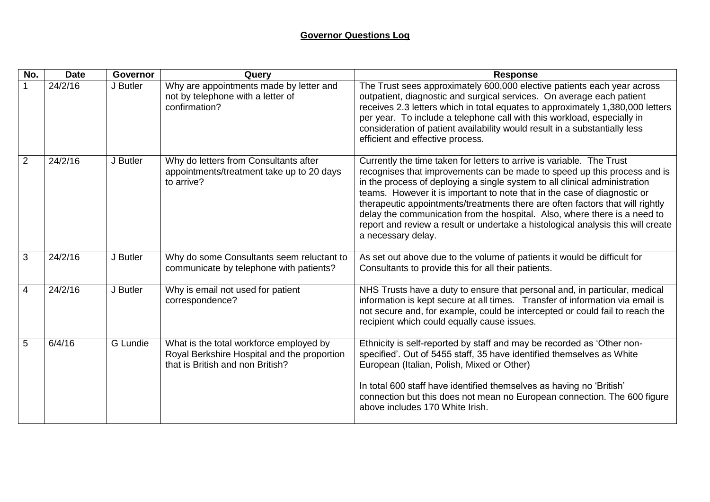## **Governor Questions Log**

| No.            | <b>Date</b> | <b>Governor</b> | Query                                                                                                                      | <b>Response</b>                                                                                                                                                                                                                                                                                                                                                                                                                                                                                                                                                                     |
|----------------|-------------|-----------------|----------------------------------------------------------------------------------------------------------------------------|-------------------------------------------------------------------------------------------------------------------------------------------------------------------------------------------------------------------------------------------------------------------------------------------------------------------------------------------------------------------------------------------------------------------------------------------------------------------------------------------------------------------------------------------------------------------------------------|
|                | 24/2/16     | J Butler        | Why are appointments made by letter and<br>not by telephone with a letter of<br>confirmation?                              | The Trust sees approximately 600,000 elective patients each year across<br>outpatient, diagnostic and surgical services. On average each patient<br>receives 2.3 letters which in total equates to approximately 1,380,000 letters<br>per year. To include a telephone call with this workload, especially in<br>consideration of patient availability would result in a substantially less<br>efficient and effective process.                                                                                                                                                     |
| 2              | 24/2/16     | J Butler        | Why do letters from Consultants after<br>appointments/treatment take up to 20 days<br>to arrive?                           | Currently the time taken for letters to arrive is variable. The Trust<br>recognises that improvements can be made to speed up this process and is<br>in the process of deploying a single system to all clinical administration<br>teams. However it is important to note that in the case of diagnostic or<br>therapeutic appointments/treatments there are often factors that will rightly<br>delay the communication from the hospital. Also, where there is a need to<br>report and review a result or undertake a histological analysis this will create<br>a necessary delay. |
| 3              | 24/2/16     | J Butler        | Why do some Consultants seem reluctant to<br>communicate by telephone with patients?                                       | As set out above due to the volume of patients it would be difficult for<br>Consultants to provide this for all their patients.                                                                                                                                                                                                                                                                                                                                                                                                                                                     |
| $\overline{4}$ | 24/2/16     | J Butler        | Why is email not used for patient<br>correspondence?                                                                       | NHS Trusts have a duty to ensure that personal and, in particular, medical<br>information is kept secure at all times. Transfer of information via email is<br>not secure and, for example, could be intercepted or could fail to reach the<br>recipient which could equally cause issues.                                                                                                                                                                                                                                                                                          |
| 5              | 6/4/16      | G Lundie        | What is the total workforce employed by<br>Royal Berkshire Hospital and the proportion<br>that is British and non British? | Ethnicity is self-reported by staff and may be recorded as 'Other non-<br>specified'. Out of 5455 staff, 35 have identified themselves as White<br>European (Italian, Polish, Mixed or Other)<br>In total 600 staff have identified themselves as having no 'British'<br>connection but this does not mean no European connection. The 600 figure<br>above includes 170 White Irish.                                                                                                                                                                                                |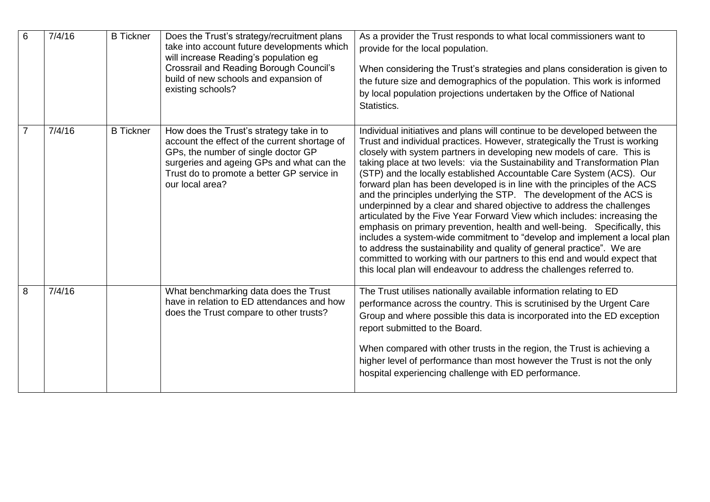| 6              | 7/4/16 | <b>B</b> Tickner | Does the Trust's strategy/recruitment plans<br>take into account future developments which<br>will increase Reading's population eg<br><b>Crossrail and Reading Borough Council's</b><br>build of new schools and expansion of<br>existing schools? | As a provider the Trust responds to what local commissioners want to<br>provide for the local population.<br>When considering the Trust's strategies and plans consideration is given to<br>the future size and demographics of the population. This work is informed<br>by local population projections undertaken by the Office of National<br>Statistics.                                                                                                                                                                                                                                                                                                                                                                                                                                                                                                                                                                                                                                                                                                                                |
|----------------|--------|------------------|-----------------------------------------------------------------------------------------------------------------------------------------------------------------------------------------------------------------------------------------------------|---------------------------------------------------------------------------------------------------------------------------------------------------------------------------------------------------------------------------------------------------------------------------------------------------------------------------------------------------------------------------------------------------------------------------------------------------------------------------------------------------------------------------------------------------------------------------------------------------------------------------------------------------------------------------------------------------------------------------------------------------------------------------------------------------------------------------------------------------------------------------------------------------------------------------------------------------------------------------------------------------------------------------------------------------------------------------------------------|
| $\overline{7}$ | 7/4/16 | <b>B</b> Tickner | How does the Trust's strategy take in to<br>account the effect of the current shortage of<br>GPs, the number of single doctor GP<br>surgeries and ageing GPs and what can the<br>Trust do to promote a better GP service in<br>our local area?      | Individual initiatives and plans will continue to be developed between the<br>Trust and individual practices. However, strategically the Trust is working<br>closely with system partners in developing new models of care. This is<br>taking place at two levels: via the Sustainability and Transformation Plan<br>(STP) and the locally established Accountable Care System (ACS). Our<br>forward plan has been developed is in line with the principles of the ACS<br>and the principles underlying the STP. The development of the ACS is<br>underpinned by a clear and shared objective to address the challenges<br>articulated by the Five Year Forward View which includes: increasing the<br>emphasis on primary prevention, health and well-being. Specifically, this<br>includes a system-wide commitment to "develop and implement a local plan<br>to address the sustainability and quality of general practice". We are<br>committed to working with our partners to this end and would expect that<br>this local plan will endeavour to address the challenges referred to. |
| 8              | 7/4/16 |                  | What benchmarking data does the Trust<br>have in relation to ED attendances and how<br>does the Trust compare to other trusts?                                                                                                                      | The Trust utilises nationally available information relating to ED<br>performance across the country. This is scrutinised by the Urgent Care<br>Group and where possible this data is incorporated into the ED exception<br>report submitted to the Board.<br>When compared with other trusts in the region, the Trust is achieving a<br>higher level of performance than most however the Trust is not the only<br>hospital experiencing challenge with ED performance.                                                                                                                                                                                                                                                                                                                                                                                                                                                                                                                                                                                                                    |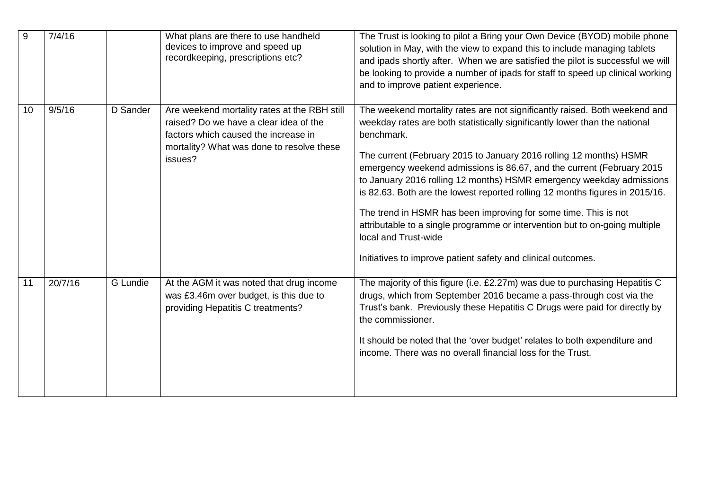| 9  | 7/4/16  |          | What plans are there to use handheld<br>devices to improve and speed up<br>recordkeeping, prescriptions etc?                                                                           | The Trust is looking to pilot a Bring your Own Device (BYOD) mobile phone<br>solution in May, with the view to expand this to include managing tablets<br>and ipads shortly after. When we are satisfied the pilot is successful we will<br>be looking to provide a number of ipads for staff to speed up clinical working<br>and to improve patient experience.                                                                                                                                                                                                                                                                                                                                                        |
|----|---------|----------|----------------------------------------------------------------------------------------------------------------------------------------------------------------------------------------|-------------------------------------------------------------------------------------------------------------------------------------------------------------------------------------------------------------------------------------------------------------------------------------------------------------------------------------------------------------------------------------------------------------------------------------------------------------------------------------------------------------------------------------------------------------------------------------------------------------------------------------------------------------------------------------------------------------------------|
| 10 | 9/5/16  | D Sander | Are weekend mortality rates at the RBH still<br>raised? Do we have a clear idea of the<br>factors which caused the increase in<br>mortality? What was done to resolve these<br>issues? | The weekend mortality rates are not significantly raised. Both weekend and<br>weekday rates are both statistically significantly lower than the national<br>benchmark.<br>The current (February 2015 to January 2016 rolling 12 months) HSMR<br>emergency weekend admissions is 86.67, and the current (February 2015<br>to January 2016 rolling 12 months) HSMR emergency weekday admissions<br>is 82.63. Both are the lowest reported rolling 12 months figures in 2015/16.<br>The trend in HSMR has been improving for some time. This is not<br>attributable to a single programme or intervention but to on-going multiple<br>local and Trust-wide<br>Initiatives to improve patient safety and clinical outcomes. |
| 11 | 20/7/16 | G Lundie | At the AGM it was noted that drug income<br>was £3.46m over budget, is this due to<br>providing Hepatitis C treatments?                                                                | The majority of this figure (i.e. £2.27m) was due to purchasing Hepatitis C<br>drugs, which from September 2016 became a pass-through cost via the<br>Trust's bank. Previously these Hepatitis C Drugs were paid for directly by<br>the commissioner.<br>It should be noted that the 'over budget' relates to both expenditure and<br>income. There was no overall financial loss for the Trust.                                                                                                                                                                                                                                                                                                                        |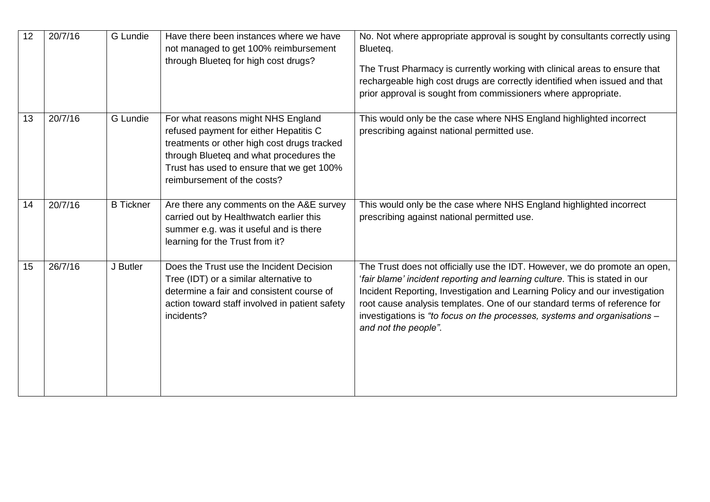| 12 | 20/7/16 | <b>G</b> Lundie  | Have there been instances where we have<br>not managed to get 100% reimbursement<br>through Blueteq for high cost drugs?                                                                                                                           | No. Not where appropriate approval is sought by consultants correctly using<br>Blueteq.<br>The Trust Pharmacy is currently working with clinical areas to ensure that<br>rechargeable high cost drugs are correctly identified when issued and that<br>prior approval is sought from commissioners where appropriate.                                                                                                      |
|----|---------|------------------|----------------------------------------------------------------------------------------------------------------------------------------------------------------------------------------------------------------------------------------------------|----------------------------------------------------------------------------------------------------------------------------------------------------------------------------------------------------------------------------------------------------------------------------------------------------------------------------------------------------------------------------------------------------------------------------|
| 13 | 20/7/16 | G Lundie         | For what reasons might NHS England<br>refused payment for either Hepatitis C<br>treatments or other high cost drugs tracked<br>through Blueteq and what procedures the<br>Trust has used to ensure that we get 100%<br>reimbursement of the costs? | This would only be the case where NHS England highlighted incorrect<br>prescribing against national permitted use.                                                                                                                                                                                                                                                                                                         |
| 14 | 20/7/16 | <b>B</b> Tickner | Are there any comments on the A&E survey<br>carried out by Healthwatch earlier this<br>summer e.g. was it useful and is there<br>learning for the Trust from it?                                                                                   | This would only be the case where NHS England highlighted incorrect<br>prescribing against national permitted use.                                                                                                                                                                                                                                                                                                         |
| 15 | 26/7/16 | J Butler         | Does the Trust use the Incident Decision<br>Tree (IDT) or a similar alternative to<br>determine a fair and consistent course of<br>action toward staff involved in patient safety<br>incidents?                                                    | The Trust does not officially use the IDT. However, we do promote an open,<br>'fair blame' incident reporting and learning culture. This is stated in our<br>Incident Reporting, Investigation and Learning Policy and our investigation<br>root cause analysis templates. One of our standard terms of reference for<br>investigations is "to focus on the processes, systems and organisations -<br>and not the people". |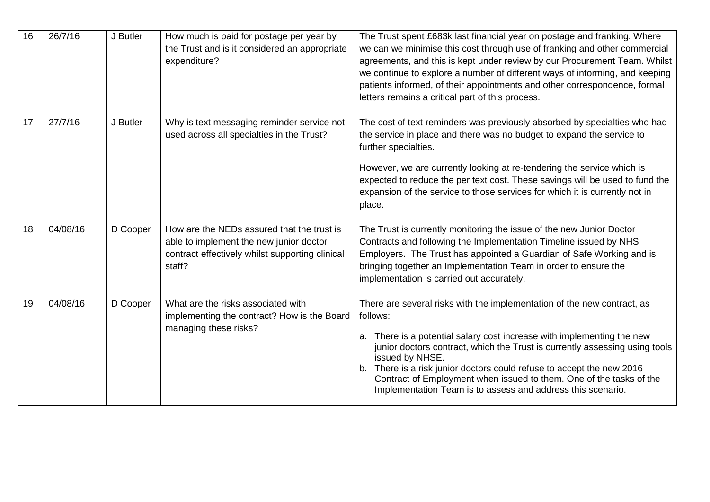| 16 | 26/7/16  | J Butler | How much is paid for postage per year by<br>the Trust and is it considered an appropriate<br>expenditure?                                          | The Trust spent £683k last financial year on postage and franking. Where<br>we can we minimise this cost through use of franking and other commercial<br>agreements, and this is kept under review by our Procurement Team. Whilst<br>we continue to explore a number of different ways of informing, and keeping<br>patients informed, of their appointments and other correspondence, formal<br>letters remains a critical part of this process.                                   |
|----|----------|----------|----------------------------------------------------------------------------------------------------------------------------------------------------|--------------------------------------------------------------------------------------------------------------------------------------------------------------------------------------------------------------------------------------------------------------------------------------------------------------------------------------------------------------------------------------------------------------------------------------------------------------------------------------|
| 17 | 27/7/16  | J Butler | Why is text messaging reminder service not<br>used across all specialties in the Trust?                                                            | The cost of text reminders was previously absorbed by specialties who had<br>the service in place and there was no budget to expand the service to<br>further specialties.<br>However, we are currently looking at re-tendering the service which is<br>expected to reduce the per text cost. These savings will be used to fund the<br>expansion of the service to those services for which it is currently not in<br>place.                                                        |
| 18 | 04/08/16 | D Cooper | How are the NEDs assured that the trust is<br>able to implement the new junior doctor<br>contract effectively whilst supporting clinical<br>staff? | The Trust is currently monitoring the issue of the new Junior Doctor<br>Contracts and following the Implementation Timeline issued by NHS<br>Employers. The Trust has appointed a Guardian of Safe Working and is<br>bringing together an Implementation Team in order to ensure the<br>implementation is carried out accurately.                                                                                                                                                    |
| 19 | 04/08/16 | D Cooper | What are the risks associated with<br>implementing the contract? How is the Board<br>managing these risks?                                         | There are several risks with the implementation of the new contract, as<br>follows:<br>There is a potential salary cost increase with implementing the new<br>а.<br>junior doctors contract, which the Trust is currently assessing using tools<br>issued by NHSE.<br>There is a risk junior doctors could refuse to accept the new 2016<br>b.<br>Contract of Employment when issued to them. One of the tasks of the<br>Implementation Team is to assess and address this scenario. |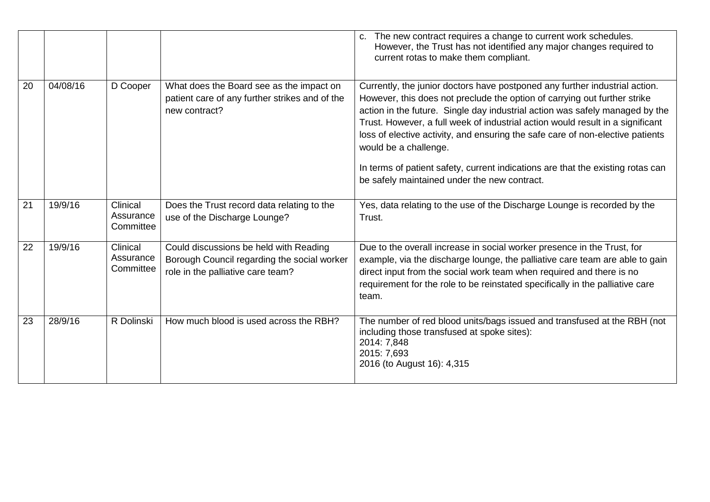|    |          |                                    |                                                                                                                            | The new contract requires a change to current work schedules.<br>C.<br>However, the Trust has not identified any major changes required to<br>current rotas to make them compliant.                                                                                                                                                                                                                                                                                                                                                                                      |
|----|----------|------------------------------------|----------------------------------------------------------------------------------------------------------------------------|--------------------------------------------------------------------------------------------------------------------------------------------------------------------------------------------------------------------------------------------------------------------------------------------------------------------------------------------------------------------------------------------------------------------------------------------------------------------------------------------------------------------------------------------------------------------------|
| 20 | 04/08/16 | D Cooper                           | What does the Board see as the impact on<br>patient care of any further strikes and of the<br>new contract?                | Currently, the junior doctors have postponed any further industrial action.<br>However, this does not preclude the option of carrying out further strike<br>action in the future. Single day industrial action was safely managed by the<br>Trust. However, a full week of industrial action would result in a significant<br>loss of elective activity, and ensuring the safe care of non-elective patients<br>would be a challenge.<br>In terms of patient safety, current indications are that the existing rotas can<br>be safely maintained under the new contract. |
| 21 | 19/9/16  | Clinical<br>Assurance<br>Committee | Does the Trust record data relating to the<br>use of the Discharge Lounge?                                                 | Yes, data relating to the use of the Discharge Lounge is recorded by the<br>Trust.                                                                                                                                                                                                                                                                                                                                                                                                                                                                                       |
| 22 | 19/9/16  | Clinical<br>Assurance<br>Committee | Could discussions be held with Reading<br>Borough Council regarding the social worker<br>role in the palliative care team? | Due to the overall increase in social worker presence in the Trust, for<br>example, via the discharge lounge, the palliative care team are able to gain<br>direct input from the social work team when required and there is no<br>requirement for the role to be reinstated specifically in the palliative care<br>team.                                                                                                                                                                                                                                                |
| 23 | 28/9/16  | R Dolinski                         | How much blood is used across the RBH?                                                                                     | The number of red blood units/bags issued and transfused at the RBH (not<br>including those transfused at spoke sites):<br>2014: 7,848<br>2015: 7,693<br>2016 (to August 16): 4,315                                                                                                                                                                                                                                                                                                                                                                                      |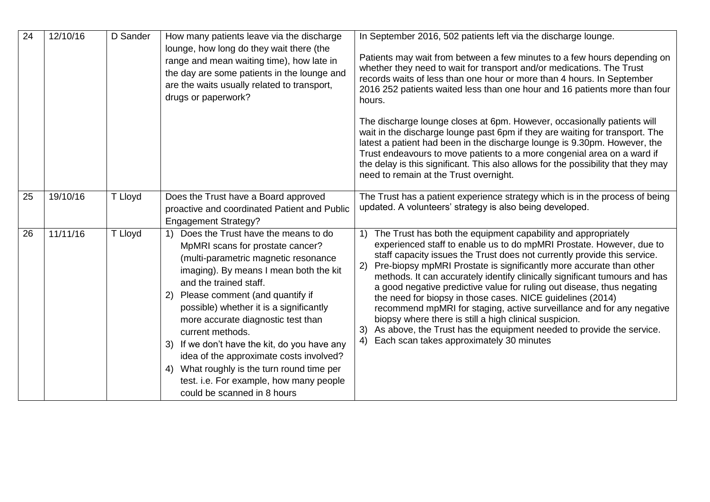| 24 | 12/10/16 | D Sander | How many patients leave via the discharge<br>lounge, how long do they wait there (the<br>range and mean waiting time), how late in<br>the day are some patients in the lounge and<br>are the waits usually related to transport,<br>drugs or paperwork?                                                                                                                                                                                                                                                                                                          | In September 2016, 502 patients left via the discharge lounge.<br>Patients may wait from between a few minutes to a few hours depending on<br>whether they need to wait for transport and/or medications. The Trust<br>records waits of less than one hour or more than 4 hours. In September<br>2016 252 patients waited less than one hour and 16 patients more than four<br>hours.                                                                                                                                                                                                                                                                                                                                                                                                   |
|----|----------|----------|------------------------------------------------------------------------------------------------------------------------------------------------------------------------------------------------------------------------------------------------------------------------------------------------------------------------------------------------------------------------------------------------------------------------------------------------------------------------------------------------------------------------------------------------------------------|-----------------------------------------------------------------------------------------------------------------------------------------------------------------------------------------------------------------------------------------------------------------------------------------------------------------------------------------------------------------------------------------------------------------------------------------------------------------------------------------------------------------------------------------------------------------------------------------------------------------------------------------------------------------------------------------------------------------------------------------------------------------------------------------|
|    |          |          |                                                                                                                                                                                                                                                                                                                                                                                                                                                                                                                                                                  | The discharge lounge closes at 6pm. However, occasionally patients will<br>wait in the discharge lounge past 6pm if they are waiting for transport. The<br>latest a patient had been in the discharge lounge is 9.30pm. However, the<br>Trust endeavours to move patients to a more congenial area on a ward if<br>the delay is this significant. This also allows for the possibility that they may<br>need to remain at the Trust overnight.                                                                                                                                                                                                                                                                                                                                          |
| 25 | 19/10/16 | T Lloyd  | Does the Trust have a Board approved<br>proactive and coordinated Patient and Public<br><b>Engagement Strategy?</b>                                                                                                                                                                                                                                                                                                                                                                                                                                              | The Trust has a patient experience strategy which is in the process of being<br>updated. A volunteers' strategy is also being developed.                                                                                                                                                                                                                                                                                                                                                                                                                                                                                                                                                                                                                                                |
| 26 | 11/11/16 | T Lloyd  | Does the Trust have the means to do<br>1)<br>MpMRI scans for prostate cancer?<br>(multi-parametric magnetic resonance<br>imaging). By means I mean both the kit<br>and the trained staff.<br>Please comment (and quantify if<br>2)<br>possible) whether it is a significantly<br>more accurate diagnostic test than<br>current methods.<br>If we don't have the kit, do you have any<br>3)<br>idea of the approximate costs involved?<br>What roughly is the turn round time per<br>4)<br>test. i.e. For example, how many people<br>could be scanned in 8 hours | The Trust has both the equipment capability and appropriately<br>experienced staff to enable us to do mpMRI Prostate. However, due to<br>staff capacity issues the Trust does not currently provide this service.<br>Pre-biopsy mpMRI Prostate is significantly more accurate than other<br>2)<br>methods. It can accurately identify clinically significant tumours and has<br>a good negative predictive value for ruling out disease, thus negating<br>the need for biopsy in those cases. NICE guidelines (2014)<br>recommend mpMRI for staging, active surveillance and for any negative<br>biopsy where there is still a high clinical suspicion.<br>As above, the Trust has the equipment needed to provide the service.<br>3)<br>Each scan takes approximately 30 minutes<br>4) |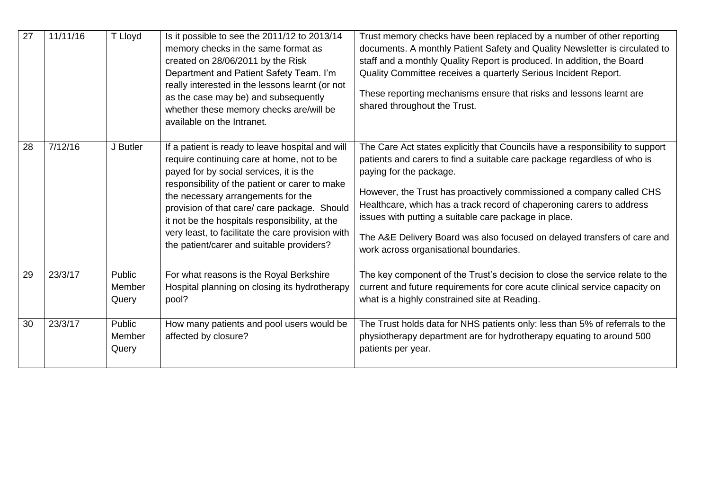| 27 | 11/11/16 | T Lloyd                   | Is it possible to see the 2011/12 to 2013/14<br>memory checks in the same format as<br>created on 28/06/2011 by the Risk<br>Department and Patient Safety Team. I'm<br>really interested in the lessons learnt (or not<br>as the case may be) and subsequently<br>whether these memory checks are/will be<br>available on the Intranet.                                                                                               | Trust memory checks have been replaced by a number of other reporting<br>documents. A monthly Patient Safety and Quality Newsletter is circulated to<br>staff and a monthly Quality Report is produced. In addition, the Board<br>Quality Committee receives a quarterly Serious Incident Report.<br>These reporting mechanisms ensure that risks and lessons learnt are<br>shared throughout the Trust.                                                                                                             |
|----|----------|---------------------------|---------------------------------------------------------------------------------------------------------------------------------------------------------------------------------------------------------------------------------------------------------------------------------------------------------------------------------------------------------------------------------------------------------------------------------------|----------------------------------------------------------------------------------------------------------------------------------------------------------------------------------------------------------------------------------------------------------------------------------------------------------------------------------------------------------------------------------------------------------------------------------------------------------------------------------------------------------------------|
| 28 | 7/12/16  | J Butler                  | If a patient is ready to leave hospital and will<br>require continuing care at home, not to be<br>payed for by social services, it is the<br>responsibility of the patient or carer to make<br>the necessary arrangements for the<br>provision of that care/ care package. Should<br>it not be the hospitals responsibility, at the<br>very least, to facilitate the care provision with<br>the patient/carer and suitable providers? | The Care Act states explicitly that Councils have a responsibility to support<br>patients and carers to find a suitable care package regardless of who is<br>paying for the package.<br>However, the Trust has proactively commissioned a company called CHS<br>Healthcare, which has a track record of chaperoning carers to address<br>issues with putting a suitable care package in place.<br>The A&E Delivery Board was also focused on delayed transfers of care and<br>work across organisational boundaries. |
| 29 | 23/3/17  | Public<br>Member<br>Query | For what reasons is the Royal Berkshire<br>Hospital planning on closing its hydrotherapy<br>pool?                                                                                                                                                                                                                                                                                                                                     | The key component of the Trust's decision to close the service relate to the<br>current and future requirements for core acute clinical service capacity on<br>what is a highly constrained site at Reading.                                                                                                                                                                                                                                                                                                         |
| 30 | 23/3/17  | Public<br>Member<br>Query | How many patients and pool users would be<br>affected by closure?                                                                                                                                                                                                                                                                                                                                                                     | The Trust holds data for NHS patients only: less than 5% of referrals to the<br>physiotherapy department are for hydrotherapy equating to around 500<br>patients per year.                                                                                                                                                                                                                                                                                                                                           |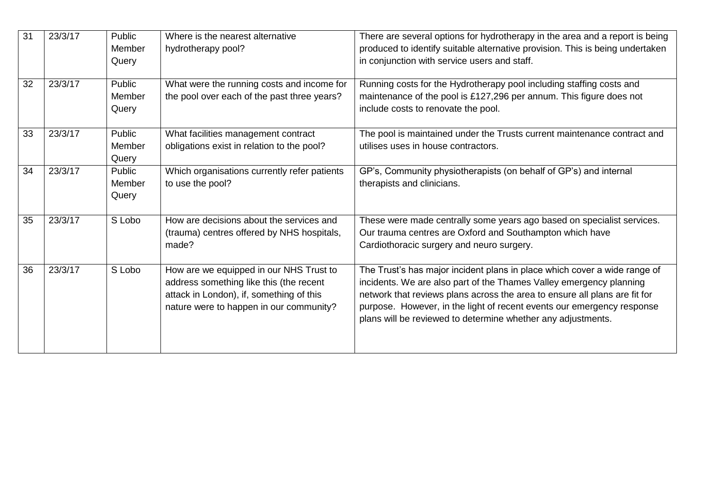| 31 | 23/3/17 | Public<br>Member<br>Query        | Where is the nearest alternative<br>hydrotherapy pool?                                                                                                                    | There are several options for hydrotherapy in the area and a report is being<br>produced to identify suitable alternative provision. This is being undertaken<br>in conjunction with service users and staff.                                                                                                                                                            |
|----|---------|----------------------------------|---------------------------------------------------------------------------------------------------------------------------------------------------------------------------|--------------------------------------------------------------------------------------------------------------------------------------------------------------------------------------------------------------------------------------------------------------------------------------------------------------------------------------------------------------------------|
| 32 | 23/3/17 | Public<br>Member<br>Query        | What were the running costs and income for<br>the pool over each of the past three years?                                                                                 | Running costs for the Hydrotherapy pool including staffing costs and<br>maintenance of the pool is £127,296 per annum. This figure does not<br>include costs to renovate the pool.                                                                                                                                                                                       |
| 33 | 23/3/17 | Public<br><b>Member</b><br>Query | What facilities management contract<br>obligations exist in relation to the pool?                                                                                         | The pool is maintained under the Trusts current maintenance contract and<br>utilises uses in house contractors.                                                                                                                                                                                                                                                          |
| 34 | 23/3/17 | Public<br>Member<br>Query        | Which organisations currently refer patients<br>to use the pool?                                                                                                          | GP's, Community physiotherapists (on behalf of GP's) and internal<br>therapists and clinicians.                                                                                                                                                                                                                                                                          |
| 35 | 23/3/17 | S Lobo                           | How are decisions about the services and<br>(trauma) centres offered by NHS hospitals,<br>made?                                                                           | These were made centrally some years ago based on specialist services.<br>Our trauma centres are Oxford and Southampton which have<br>Cardiothoracic surgery and neuro surgery.                                                                                                                                                                                          |
| 36 | 23/3/17 | S Lobo                           | How are we equipped in our NHS Trust to<br>address something like this (the recent<br>attack in London), if, something of this<br>nature were to happen in our community? | The Trust's has major incident plans in place which cover a wide range of<br>incidents. We are also part of the Thames Valley emergency planning<br>network that reviews plans across the area to ensure all plans are fit for<br>purpose. However, in the light of recent events our emergency response<br>plans will be reviewed to determine whether any adjustments. |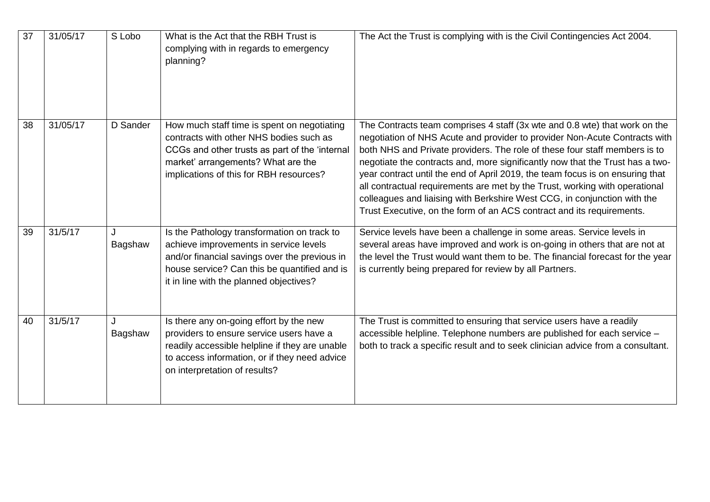| 37 | 31/05/17 | S Lobo       | What is the Act that the RBH Trust is<br>complying with in regards to emergency<br>planning?                                                                                                                                      | The Act the Trust is complying with is the Civil Contingencies Act 2004.                                                                                                                                                                                                                                                                                                                                                                                                                                                                                                                                                                     |
|----|----------|--------------|-----------------------------------------------------------------------------------------------------------------------------------------------------------------------------------------------------------------------------------|----------------------------------------------------------------------------------------------------------------------------------------------------------------------------------------------------------------------------------------------------------------------------------------------------------------------------------------------------------------------------------------------------------------------------------------------------------------------------------------------------------------------------------------------------------------------------------------------------------------------------------------------|
| 38 | 31/05/17 | D Sander     | How much staff time is spent on negotiating<br>contracts with other NHS bodies such as<br>CCGs and other trusts as part of the 'internal<br>market' arrangements? What are the<br>implications of this for RBH resources?         | The Contracts team comprises 4 staff (3x wte and 0.8 wte) that work on the<br>negotiation of NHS Acute and provider to provider Non-Acute Contracts with<br>both NHS and Private providers. The role of these four staff members is to<br>negotiate the contracts and, more significantly now that the Trust has a two-<br>year contract until the end of April 2019, the team focus is on ensuring that<br>all contractual requirements are met by the Trust, working with operational<br>colleagues and liaising with Berkshire West CCG, in conjunction with the<br>Trust Executive, on the form of an ACS contract and its requirements. |
| 39 | 31/5/17  | J<br>Bagshaw | Is the Pathology transformation on track to<br>achieve improvements in service levels<br>and/or financial savings over the previous in<br>house service? Can this be quantified and is<br>it in line with the planned objectives? | Service levels have been a challenge in some areas. Service levels in<br>several areas have improved and work is on-going in others that are not at<br>the level the Trust would want them to be. The financial forecast for the year<br>is currently being prepared for review by all Partners.                                                                                                                                                                                                                                                                                                                                             |
| 40 | 31/5/17  | J<br>Bagshaw | Is there any on-going effort by the new<br>providers to ensure service users have a<br>readily accessible helpline if they are unable<br>to access information, or if they need advice<br>on interpretation of results?           | The Trust is committed to ensuring that service users have a readily<br>accessible helpline. Telephone numbers are published for each service -<br>both to track a specific result and to seek clinician advice from a consultant.                                                                                                                                                                                                                                                                                                                                                                                                           |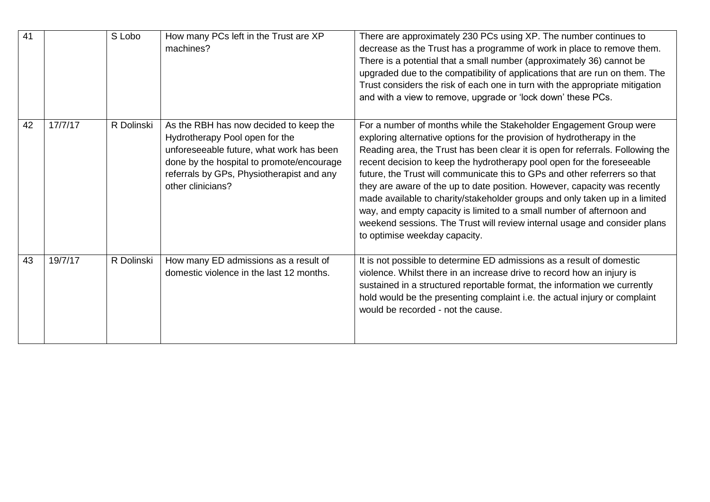| 41 |         | S Lobo     | How many PCs left in the Trust are XP<br>machines?                                                                                                                                                                                  | There are approximately 230 PCs using XP. The number continues to<br>decrease as the Trust has a programme of work in place to remove them.<br>There is a potential that a small number (approximately 36) cannot be<br>upgraded due to the compatibility of applications that are run on them. The<br>Trust considers the risk of each one in turn with the appropriate mitigation<br>and with a view to remove, upgrade or 'lock down' these PCs.                                                                                                                                                                                                                                                                                       |
|----|---------|------------|-------------------------------------------------------------------------------------------------------------------------------------------------------------------------------------------------------------------------------------|-------------------------------------------------------------------------------------------------------------------------------------------------------------------------------------------------------------------------------------------------------------------------------------------------------------------------------------------------------------------------------------------------------------------------------------------------------------------------------------------------------------------------------------------------------------------------------------------------------------------------------------------------------------------------------------------------------------------------------------------|
| 42 | 17/7/17 | R Dolinski | As the RBH has now decided to keep the<br>Hydrotherapy Pool open for the<br>unforeseeable future, what work has been<br>done by the hospital to promote/encourage<br>referrals by GPs, Physiotherapist and any<br>other clinicians? | For a number of months while the Stakeholder Engagement Group were<br>exploring alternative options for the provision of hydrotherapy in the<br>Reading area, the Trust has been clear it is open for referrals. Following the<br>recent decision to keep the hydrotherapy pool open for the foreseeable<br>future, the Trust will communicate this to GPs and other referrers so that<br>they are aware of the up to date position. However, capacity was recently<br>made available to charity/stakeholder groups and only taken up in a limited<br>way, and empty capacity is limited to a small number of afternoon and<br>weekend sessions. The Trust will review internal usage and consider plans<br>to optimise weekday capacity. |
| 43 | 19/7/17 | R Dolinski | How many ED admissions as a result of<br>domestic violence in the last 12 months.                                                                                                                                                   | It is not possible to determine ED admissions as a result of domestic<br>violence. Whilst there in an increase drive to record how an injury is<br>sustained in a structured reportable format, the information we currently<br>hold would be the presenting complaint i.e. the actual injury or complaint<br>would be recorded - not the cause.                                                                                                                                                                                                                                                                                                                                                                                          |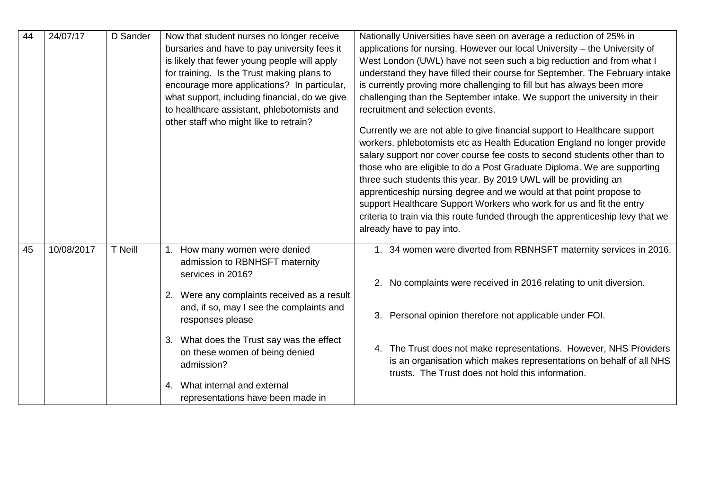| 44 | 24/07/17   | D Sander       | Now that student nurses no longer receive<br>bursaries and have to pay university fees it<br>is likely that fewer young people will apply<br>for training. Is the Trust making plans to<br>encourage more applications? In particular,<br>what support, including financial, do we give<br>to healthcare assistant, phlebotomists and<br>other staff who might like to retrain? | Nationally Universities have seen on average a reduction of 25% in<br>applications for nursing. However our local University - the University of<br>West London (UWL) have not seen such a big reduction and from what I<br>understand they have filled their course for September. The February intake<br>is currently proving more challenging to fill but has always been more<br>challenging than the September intake. We support the university in their<br>recruitment and selection events.<br>Currently we are not able to give financial support to Healthcare support<br>workers, phlebotomists etc as Health Education England no longer provide<br>salary support nor cover course fee costs to second students other than to<br>those who are eligible to do a Post Graduate Diploma. We are supporting<br>three such students this year. By 2019 UWL will be providing an<br>apprenticeship nursing degree and we would at that point propose to<br>support Healthcare Support Workers who work for us and fit the entry<br>criteria to train via this route funded through the apprenticeship levy that we<br>already have to pay into. |
|----|------------|----------------|---------------------------------------------------------------------------------------------------------------------------------------------------------------------------------------------------------------------------------------------------------------------------------------------------------------------------------------------------------------------------------|---------------------------------------------------------------------------------------------------------------------------------------------------------------------------------------------------------------------------------------------------------------------------------------------------------------------------------------------------------------------------------------------------------------------------------------------------------------------------------------------------------------------------------------------------------------------------------------------------------------------------------------------------------------------------------------------------------------------------------------------------------------------------------------------------------------------------------------------------------------------------------------------------------------------------------------------------------------------------------------------------------------------------------------------------------------------------------------------------------------------------------------------------------|
| 45 | 10/08/2017 | <b>T</b> Neill | 1. How many women were denied<br>admission to RBNHSFT maternity<br>services in 2016?<br>2. Were any complaints received as a result<br>and, if so, may I see the complaints and<br>responses please<br>3. What does the Trust say was the effect<br>on these women of being denied<br>admission?<br>4. What internal and external<br>representations have been made in          | 1. 34 women were diverted from RBNHSFT maternity services in 2016.<br>No complaints were received in 2016 relating to unit diversion.<br>2.<br>3. Personal opinion therefore not applicable under FOI.<br>4. The Trust does not make representations. However, NHS Providers<br>is an organisation which makes representations on behalf of all NHS<br>trusts. The Trust does not hold this information.                                                                                                                                                                                                                                                                                                                                                                                                                                                                                                                                                                                                                                                                                                                                                |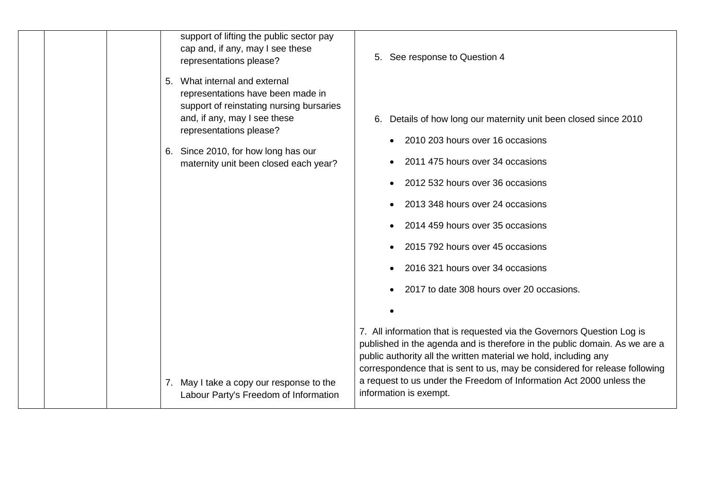|  | support of lifting the public sector pay<br>cap and, if any, may I see these<br>representations please?                                           | 5. See response to Question 4                                                                                                                                                                                                                                                                                                                                                  |
|--|---------------------------------------------------------------------------------------------------------------------------------------------------|--------------------------------------------------------------------------------------------------------------------------------------------------------------------------------------------------------------------------------------------------------------------------------------------------------------------------------------------------------------------------------|
|  | What internal and external<br>5.<br>representations have been made in<br>support of reinstating nursing bursaries<br>and, if any, may I see these | Details of how long our maternity unit been closed since 2010<br>6.                                                                                                                                                                                                                                                                                                            |
|  | representations please?<br>6. Since 2010, for how long has our                                                                                    | 2010 203 hours over 16 occasions                                                                                                                                                                                                                                                                                                                                               |
|  | maternity unit been closed each year?                                                                                                             | 2011 475 hours over 34 occasions                                                                                                                                                                                                                                                                                                                                               |
|  |                                                                                                                                                   | 2012 532 hours over 36 occasions                                                                                                                                                                                                                                                                                                                                               |
|  |                                                                                                                                                   | 2013 348 hours over 24 occasions                                                                                                                                                                                                                                                                                                                                               |
|  |                                                                                                                                                   | 2014 459 hours over 35 occasions                                                                                                                                                                                                                                                                                                                                               |
|  |                                                                                                                                                   | 2015 792 hours over 45 occasions                                                                                                                                                                                                                                                                                                                                               |
|  |                                                                                                                                                   | 2016 321 hours over 34 occasions                                                                                                                                                                                                                                                                                                                                               |
|  |                                                                                                                                                   | 2017 to date 308 hours over 20 occasions.                                                                                                                                                                                                                                                                                                                                      |
|  |                                                                                                                                                   |                                                                                                                                                                                                                                                                                                                                                                                |
|  | 7. May I take a copy our response to the                                                                                                          | 7. All information that is requested via the Governors Question Log is<br>published in the agenda and is therefore in the public domain. As we are a<br>public authority all the written material we hold, including any<br>correspondence that is sent to us, may be considered for release following<br>a request to us under the Freedom of Information Act 2000 unless the |
|  | Labour Party's Freedom of Information                                                                                                             | information is exempt.                                                                                                                                                                                                                                                                                                                                                         |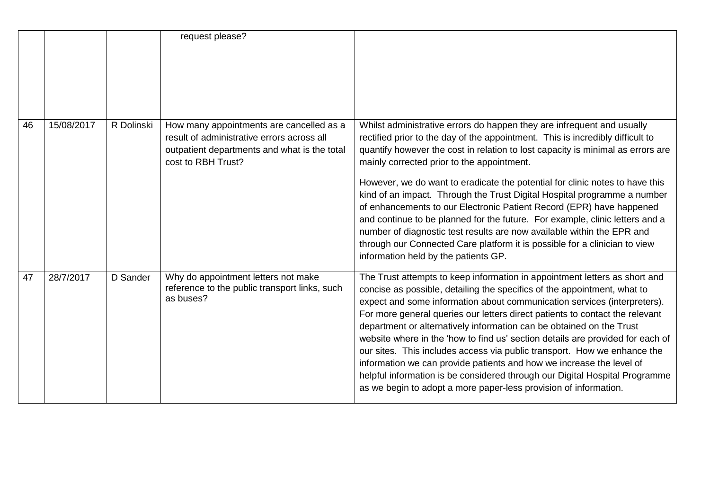|    |            |            | request please?                                                                                                                                              |                                                                                                                                                                                                                                                                                                                                                                                                                                                                                                                                                                                                                                                                                                                                                                                                               |
|----|------------|------------|--------------------------------------------------------------------------------------------------------------------------------------------------------------|---------------------------------------------------------------------------------------------------------------------------------------------------------------------------------------------------------------------------------------------------------------------------------------------------------------------------------------------------------------------------------------------------------------------------------------------------------------------------------------------------------------------------------------------------------------------------------------------------------------------------------------------------------------------------------------------------------------------------------------------------------------------------------------------------------------|
| 46 | 15/08/2017 | R Dolinski | How many appointments are cancelled as a<br>result of administrative errors across all<br>outpatient departments and what is the total<br>cost to RBH Trust? | Whilst administrative errors do happen they are infrequent and usually<br>rectified prior to the day of the appointment. This is incredibly difficult to<br>quantify however the cost in relation to lost capacity is minimal as errors are<br>mainly corrected prior to the appointment.<br>However, we do want to eradicate the potential for clinic notes to have this<br>kind of an impact. Through the Trust Digital Hospital programme a number<br>of enhancements to our Electronic Patient Record (EPR) have happened<br>and continue to be planned for the future. For example, clinic letters and a<br>number of diagnostic test results are now available within the EPR and<br>through our Connected Care platform it is possible for a clinician to view<br>information held by the patients GP. |
| 47 | 28/7/2017  | D Sander   | Why do appointment letters not make<br>reference to the public transport links, such<br>as buses?                                                            | The Trust attempts to keep information in appointment letters as short and<br>concise as possible, detailing the specifics of the appointment, what to<br>expect and some information about communication services (interpreters).<br>For more general queries our letters direct patients to contact the relevant<br>department or alternatively information can be obtained on the Trust<br>website where in the 'how to find us' section details are provided for each of<br>our sites. This includes access via public transport. How we enhance the<br>information we can provide patients and how we increase the level of<br>helpful information is be considered through our Digital Hospital Programme<br>as we begin to adopt a more paper-less provision of information.                           |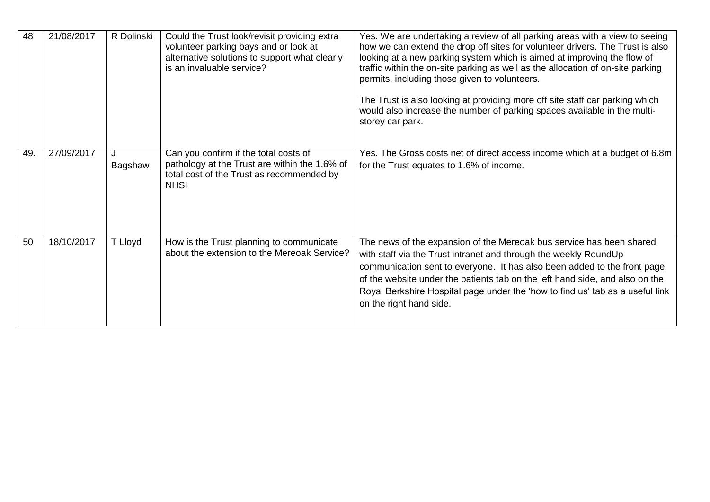| 48  | 21/08/2017 | R Dolinski | Could the Trust look/revisit providing extra<br>volunteer parking bays and or look at<br>alternative solutions to support what clearly<br>is an invaluable service? | Yes. We are undertaking a review of all parking areas with a view to seeing<br>how we can extend the drop off sites for volunteer drivers. The Trust is also<br>looking at a new parking system which is aimed at improving the flow of<br>traffic within the on-site parking as well as the allocation of on-site parking<br>permits, including those given to volunteers.<br>The Trust is also looking at providing more off site staff car parking which<br>would also increase the number of parking spaces available in the multi-<br>storey car park. |
|-----|------------|------------|---------------------------------------------------------------------------------------------------------------------------------------------------------------------|-------------------------------------------------------------------------------------------------------------------------------------------------------------------------------------------------------------------------------------------------------------------------------------------------------------------------------------------------------------------------------------------------------------------------------------------------------------------------------------------------------------------------------------------------------------|
| 49. | 27/09/2017 | Bagshaw    | Can you confirm if the total costs of<br>pathology at the Trust are within the 1.6% of<br>total cost of the Trust as recommended by<br><b>NHSI</b>                  | Yes. The Gross costs net of direct access income which at a budget of 6.8m<br>for the Trust equates to 1.6% of income.                                                                                                                                                                                                                                                                                                                                                                                                                                      |
| 50  | 18/10/2017 | T Lloyd    | How is the Trust planning to communicate<br>about the extension to the Mereoak Service?                                                                             | The news of the expansion of the Mereoak bus service has been shared<br>with staff via the Trust intranet and through the weekly RoundUp<br>communication sent to everyone. It has also been added to the front page<br>of the website under the patients tab on the left hand side, and also on the<br>Royal Berkshire Hospital page under the 'how to find us' tab as a useful link<br>on the right hand side.                                                                                                                                            |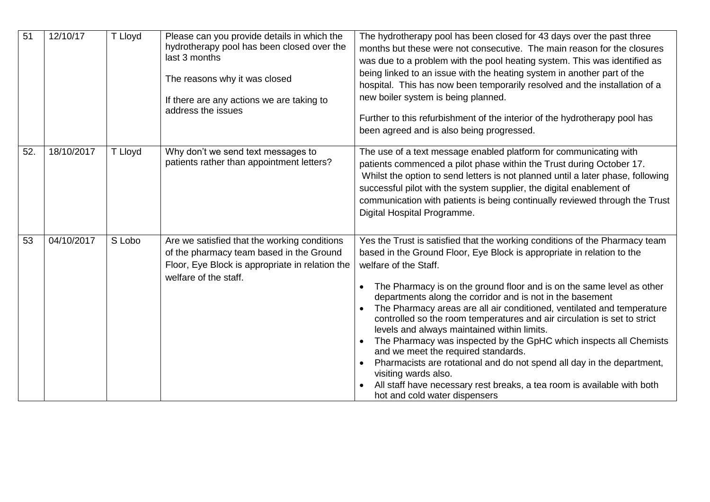| 51  | 12/10/17   | T Lloyd | Please can you provide details in which the<br>hydrotherapy pool has been closed over the<br>last 3 months<br>The reasons why it was closed<br>If there are any actions we are taking to<br>address the issues | The hydrotherapy pool has been closed for 43 days over the past three<br>months but these were not consecutive. The main reason for the closures<br>was due to a problem with the pool heating system. This was identified as<br>being linked to an issue with the heating system in another part of the<br>hospital. This has now been temporarily resolved and the installation of a<br>new boiler system is being planned.<br>Further to this refurbishment of the interior of the hydrotherapy pool has<br>been agreed and is also being progressed.                                                                                                                                                                                                                                                                                             |
|-----|------------|---------|----------------------------------------------------------------------------------------------------------------------------------------------------------------------------------------------------------------|------------------------------------------------------------------------------------------------------------------------------------------------------------------------------------------------------------------------------------------------------------------------------------------------------------------------------------------------------------------------------------------------------------------------------------------------------------------------------------------------------------------------------------------------------------------------------------------------------------------------------------------------------------------------------------------------------------------------------------------------------------------------------------------------------------------------------------------------------|
| 52. | 18/10/2017 | T Lloyd | Why don't we send text messages to<br>patients rather than appointment letters?                                                                                                                                | The use of a text message enabled platform for communicating with<br>patients commenced a pilot phase within the Trust during October 17.<br>Whilst the option to send letters is not planned until a later phase, following<br>successful pilot with the system supplier, the digital enablement of<br>communication with patients is being continually reviewed through the Trust<br>Digital Hospital Programme.                                                                                                                                                                                                                                                                                                                                                                                                                                   |
| 53  | 04/10/2017 | S Lobo  | Are we satisfied that the working conditions<br>of the pharmacy team based in the Ground<br>Floor, Eye Block is appropriate in relation the<br>welfare of the staff.                                           | Yes the Trust is satisfied that the working conditions of the Pharmacy team<br>based in the Ground Floor, Eye Block is appropriate in relation to the<br>welfare of the Staff.<br>The Pharmacy is on the ground floor and is on the same level as other<br>departments along the corridor and is not in the basement<br>The Pharmacy areas are all air conditioned, ventilated and temperature<br>controlled so the room temperatures and air circulation is set to strict<br>levels and always maintained within limits.<br>The Pharmacy was inspected by the GpHC which inspects all Chemists<br>and we meet the required standards.<br>Pharmacists are rotational and do not spend all day in the department,<br>visiting wards also.<br>All staff have necessary rest breaks, a tea room is available with both<br>hot and cold water dispensers |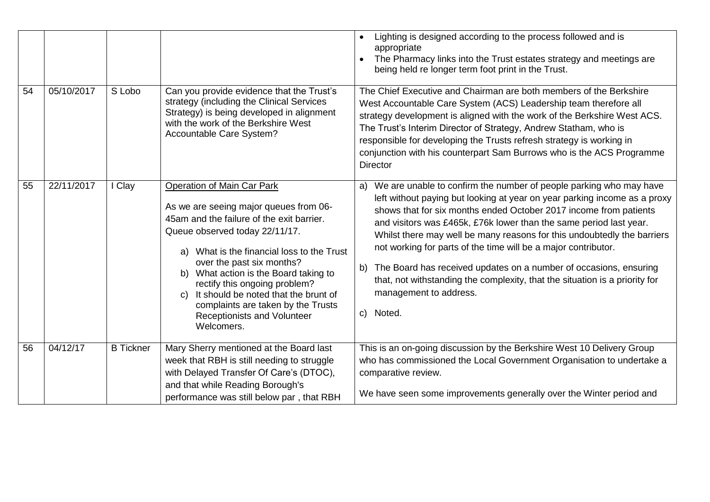|    |            |                  |                                                                                                                                                                                                                                                                                                                                                                                                                                                     | Lighting is designed according to the process followed and is<br>appropriate<br>The Pharmacy links into the Trust estates strategy and meetings are<br>being held re longer term foot print in the Trust.                                                                                                                                                                                                                                                                                                                                                                                                                                      |
|----|------------|------------------|-----------------------------------------------------------------------------------------------------------------------------------------------------------------------------------------------------------------------------------------------------------------------------------------------------------------------------------------------------------------------------------------------------------------------------------------------------|------------------------------------------------------------------------------------------------------------------------------------------------------------------------------------------------------------------------------------------------------------------------------------------------------------------------------------------------------------------------------------------------------------------------------------------------------------------------------------------------------------------------------------------------------------------------------------------------------------------------------------------------|
| 54 | 05/10/2017 | S Lobo           | Can you provide evidence that the Trust's<br>strategy (including the Clinical Services<br>Strategy) is being developed in alignment<br>with the work of the Berkshire West<br>Accountable Care System?                                                                                                                                                                                                                                              | The Chief Executive and Chairman are both members of the Berkshire<br>West Accountable Care System (ACS) Leadership team therefore all<br>strategy development is aligned with the work of the Berkshire West ACS.<br>The Trust's Interim Director of Strategy, Andrew Statham, who is<br>responsible for developing the Trusts refresh strategy is working in<br>conjunction with his counterpart Sam Burrows who is the ACS Programme<br><b>Director</b>                                                                                                                                                                                     |
| 55 | 22/11/2017 | Clay             | <b>Operation of Main Car Park</b><br>As we are seeing major queues from 06-<br>45am and the failure of the exit barrier.<br>Queue observed today 22/11/17.<br>What is the financial loss to the Trust<br>a)<br>over the past six months?<br>b) What action is the Board taking to<br>rectify this ongoing problem?<br>It should be noted that the brunt of<br>C)<br>complaints are taken by the Trusts<br>Receptionists and Volunteer<br>Welcomers. | We are unable to confirm the number of people parking who may have<br>a)<br>left without paying but looking at year on year parking income as a proxy<br>shows that for six months ended October 2017 income from patients<br>and visitors was £465k, £76k lower than the same period last year.<br>Whilst there may well be many reasons for this undoubtedly the barriers<br>not working for parts of the time will be a major contributor.<br>The Board has received updates on a number of occasions, ensuring<br>b)<br>that, not withstanding the complexity, that the situation is a priority for<br>management to address.<br>c) Noted. |
| 56 | 04/12/17   | <b>B</b> Tickner | Mary Sherry mentioned at the Board last<br>week that RBH is still needing to struggle<br>with Delayed Transfer Of Care's (DTOC),<br>and that while Reading Borough's<br>performance was still below par, that RBH                                                                                                                                                                                                                                   | This is an on-going discussion by the Berkshire West 10 Delivery Group<br>who has commissioned the Local Government Organisation to undertake a<br>comparative review.<br>We have seen some improvements generally over the Winter period and                                                                                                                                                                                                                                                                                                                                                                                                  |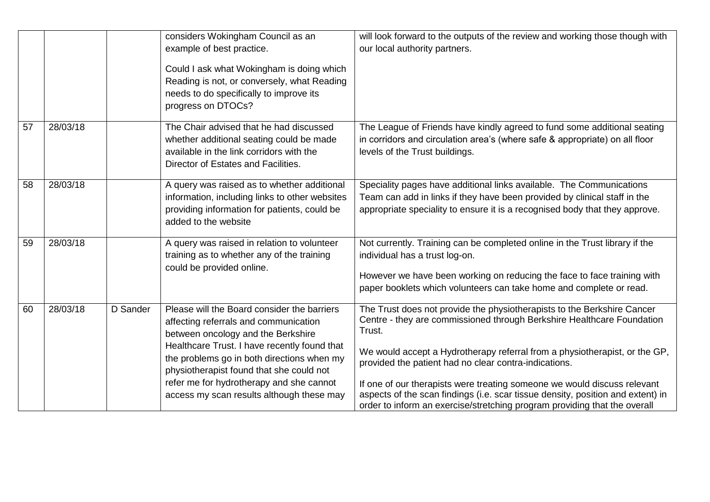|    |          |          | considers Wokingham Council as an<br>example of best practice.<br>Could I ask what Wokingham is doing which<br>Reading is not, or conversely, what Reading<br>needs to do specifically to improve its<br>progress on DTOCs?                                                                                                                                   | will look forward to the outputs of the review and working those though with<br>our local authority partners.                                                                                                                                                                                                                                                                                                                                                                                                                                  |
|----|----------|----------|---------------------------------------------------------------------------------------------------------------------------------------------------------------------------------------------------------------------------------------------------------------------------------------------------------------------------------------------------------------|------------------------------------------------------------------------------------------------------------------------------------------------------------------------------------------------------------------------------------------------------------------------------------------------------------------------------------------------------------------------------------------------------------------------------------------------------------------------------------------------------------------------------------------------|
| 57 | 28/03/18 |          | The Chair advised that he had discussed<br>whether additional seating could be made<br>available in the link corridors with the<br>Director of Estates and Facilities.                                                                                                                                                                                        | The League of Friends have kindly agreed to fund some additional seating<br>in corridors and circulation area's (where safe & appropriate) on all floor<br>levels of the Trust buildings.                                                                                                                                                                                                                                                                                                                                                      |
| 58 | 28/03/18 |          | A query was raised as to whether additional<br>information, including links to other websites<br>providing information for patients, could be<br>added to the website                                                                                                                                                                                         | Speciality pages have additional links available. The Communications<br>Team can add in links if they have been provided by clinical staff in the<br>appropriate speciality to ensure it is a recognised body that they approve.                                                                                                                                                                                                                                                                                                               |
| 59 | 28/03/18 |          | A query was raised in relation to volunteer<br>training as to whether any of the training<br>could be provided online.                                                                                                                                                                                                                                        | Not currently. Training can be completed online in the Trust library if the<br>individual has a trust log-on.<br>However we have been working on reducing the face to face training with<br>paper booklets which volunteers can take home and complete or read.                                                                                                                                                                                                                                                                                |
| 60 | 28/03/18 | D Sander | Please will the Board consider the barriers<br>affecting referrals and communication<br>between oncology and the Berkshire<br>Healthcare Trust. I have recently found that<br>the problems go in both directions when my<br>physiotherapist found that she could not<br>refer me for hydrotherapy and she cannot<br>access my scan results although these may | The Trust does not provide the physiotherapists to the Berkshire Cancer<br>Centre - they are commissioned through Berkshire Healthcare Foundation<br>Trust.<br>We would accept a Hydrotherapy referral from a physiotherapist, or the GP,<br>provided the patient had no clear contra-indications.<br>If one of our therapists were treating someone we would discuss relevant<br>aspects of the scan findings (i.e. scar tissue density, position and extent) in<br>order to inform an exercise/stretching program providing that the overall |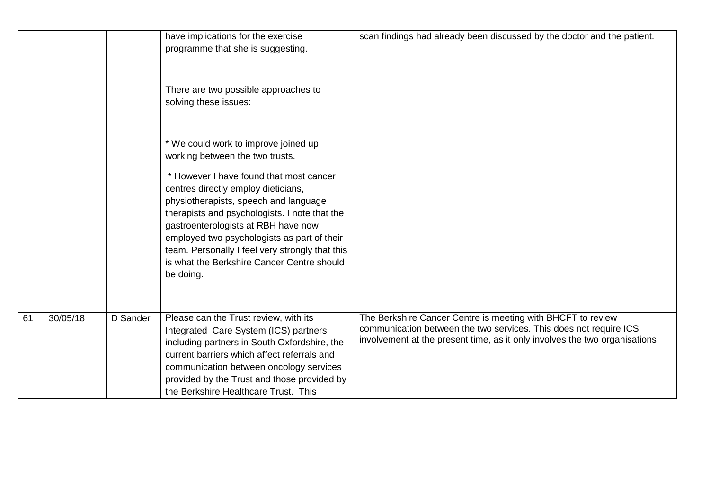|    |          |          | have implications for the exercise<br>programme that she is suggesting.<br>There are two possible approaches to<br>solving these issues:<br>* We could work to improve joined up<br>working between the two trusts.<br>* However I have found that most cancer<br>centres directly employ dieticians,<br>physiotherapists, speech and language<br>therapists and psychologists. I note that the<br>gastroenterologists at RBH have now<br>employed two psychologists as part of their<br>team. Personally I feel very strongly that this<br>is what the Berkshire Cancer Centre should<br>be doing. | scan findings had already been discussed by the doctor and the patient.                                                                                                                                        |
|----|----------|----------|-----------------------------------------------------------------------------------------------------------------------------------------------------------------------------------------------------------------------------------------------------------------------------------------------------------------------------------------------------------------------------------------------------------------------------------------------------------------------------------------------------------------------------------------------------------------------------------------------------|----------------------------------------------------------------------------------------------------------------------------------------------------------------------------------------------------------------|
| 61 | 30/05/18 | D Sander | Please can the Trust review, with its<br>Integrated Care System (ICS) partners<br>including partners in South Oxfordshire, the<br>current barriers which affect referrals and<br>communication between oncology services<br>provided by the Trust and those provided by<br>the Berkshire Healthcare Trust. This                                                                                                                                                                                                                                                                                     | The Berkshire Cancer Centre is meeting with BHCFT to review<br>communication between the two services. This does not require ICS<br>involvement at the present time, as it only involves the two organisations |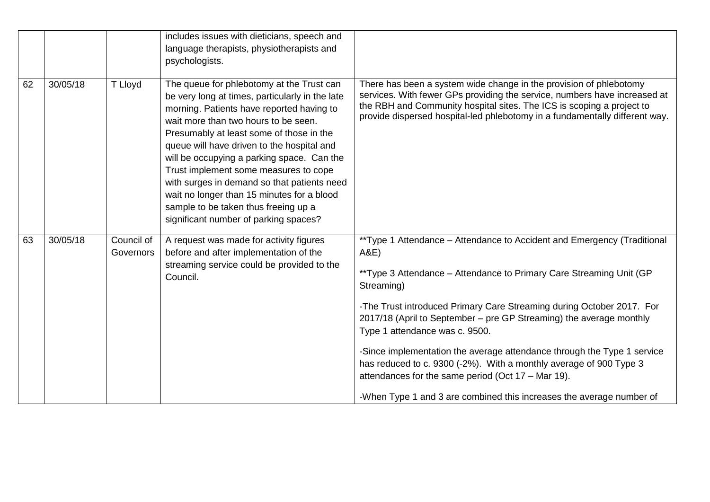|    |          |                         | includes issues with dieticians, speech and<br>language therapists, physiotherapists and<br>psychologists.                                                                                                                                                                                                                                                                                                                                                                                                                                       |                                                                                                                                                                                                                                                                                                                                                                                                                                                                                                                                                                                                                                       |
|----|----------|-------------------------|--------------------------------------------------------------------------------------------------------------------------------------------------------------------------------------------------------------------------------------------------------------------------------------------------------------------------------------------------------------------------------------------------------------------------------------------------------------------------------------------------------------------------------------------------|---------------------------------------------------------------------------------------------------------------------------------------------------------------------------------------------------------------------------------------------------------------------------------------------------------------------------------------------------------------------------------------------------------------------------------------------------------------------------------------------------------------------------------------------------------------------------------------------------------------------------------------|
| 62 | 30/05/18 | T Lloyd                 | The queue for phlebotomy at the Trust can<br>be very long at times, particularly in the late<br>morning. Patients have reported having to<br>wait more than two hours to be seen.<br>Presumably at least some of those in the<br>queue will have driven to the hospital and<br>will be occupying a parking space. Can the<br>Trust implement some measures to cope<br>with surges in demand so that patients need<br>wait no longer than 15 minutes for a blood<br>sample to be taken thus freeing up a<br>significant number of parking spaces? | There has been a system wide change in the provision of phlebotomy<br>services. With fewer GPs providing the service, numbers have increased at<br>the RBH and Community hospital sites. The ICS is scoping a project to<br>provide dispersed hospital-led phlebotomy in a fundamentally different way.                                                                                                                                                                                                                                                                                                                               |
| 63 | 30/05/18 | Council of<br>Governors | A request was made for activity figures<br>before and after implementation of the<br>streaming service could be provided to the<br>Council.                                                                                                                                                                                                                                                                                                                                                                                                      | **Type 1 Attendance - Attendance to Accident and Emergency (Traditional<br>A&E)<br>**Type 3 Attendance – Attendance to Primary Care Streaming Unit (GP<br>Streaming)<br>-The Trust introduced Primary Care Streaming during October 2017. For<br>2017/18 (April to September – pre GP Streaming) the average monthly<br>Type 1 attendance was c. 9500.<br>-Since implementation the average attendance through the Type 1 service<br>has reduced to c. 9300 (-2%). With a monthly average of 900 Type 3<br>attendances for the same period (Oct 17 - Mar 19).<br>-When Type 1 and 3 are combined this increases the average number of |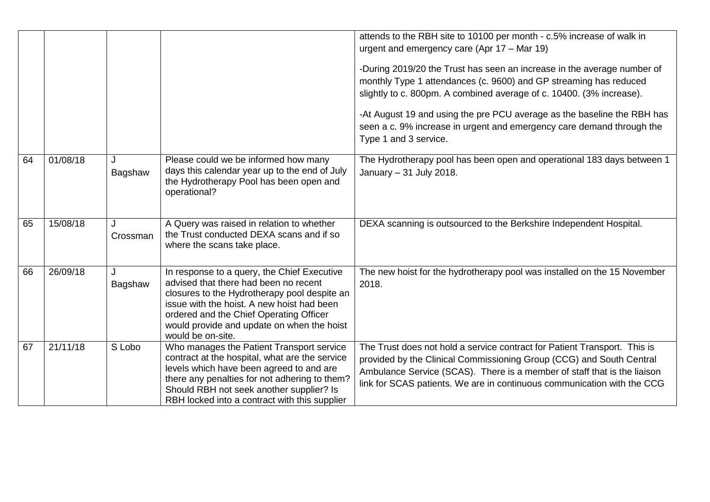|    |          |               |                                                                                                                                                                                                                                                                                                  | attends to the RBH site to 10100 per month - c.5% increase of walk in<br>urgent and emergency care (Apr 17 - Mar 19)<br>-During 2019/20 the Trust has seen an increase in the average number of<br>monthly Type 1 attendances (c. 9600) and GP streaming has reduced<br>slightly to c. 800pm. A combined average of c. 10400. (3% increase).<br>-At August 19 and using the pre PCU average as the baseline the RBH has<br>seen a c. 9% increase in urgent and emergency care demand through the<br>Type 1 and 3 service. |
|----|----------|---------------|--------------------------------------------------------------------------------------------------------------------------------------------------------------------------------------------------------------------------------------------------------------------------------------------------|---------------------------------------------------------------------------------------------------------------------------------------------------------------------------------------------------------------------------------------------------------------------------------------------------------------------------------------------------------------------------------------------------------------------------------------------------------------------------------------------------------------------------|
| 64 | 01/08/18 | J<br>Bagshaw  | Please could we be informed how many<br>days this calendar year up to the end of July<br>the Hydrotherapy Pool has been open and<br>operational?                                                                                                                                                 | The Hydrotherapy pool has been open and operational 183 days between 1<br>January - 31 July 2018.                                                                                                                                                                                                                                                                                                                                                                                                                         |
| 65 | 15/08/18 | J<br>Crossman | A Query was raised in relation to whether<br>the Trust conducted DEXA scans and if so<br>where the scans take place.                                                                                                                                                                             | DEXA scanning is outsourced to the Berkshire Independent Hospital.                                                                                                                                                                                                                                                                                                                                                                                                                                                        |
| 66 | 26/09/18 | J<br>Bagshaw  | In response to a query, the Chief Executive<br>advised that there had been no recent<br>closures to the Hydrotherapy pool despite an<br>issue with the hoist. A new hoist had been<br>ordered and the Chief Operating Officer<br>would provide and update on when the hoist<br>would be on-site. | The new hoist for the hydrotherapy pool was installed on the 15 November<br>2018.                                                                                                                                                                                                                                                                                                                                                                                                                                         |
| 67 | 21/11/18 | S Lobo        | Who manages the Patient Transport service<br>contract at the hospital, what are the service<br>levels which have been agreed to and are<br>there any penalties for not adhering to them?<br>Should RBH not seek another supplier? Is<br>RBH locked into a contract with this supplier            | The Trust does not hold a service contract for Patient Transport. This is<br>provided by the Clinical Commissioning Group (CCG) and South Central<br>Ambulance Service (SCAS). There is a member of staff that is the liaison<br>link for SCAS patients. We are in continuous communication with the CCG                                                                                                                                                                                                                  |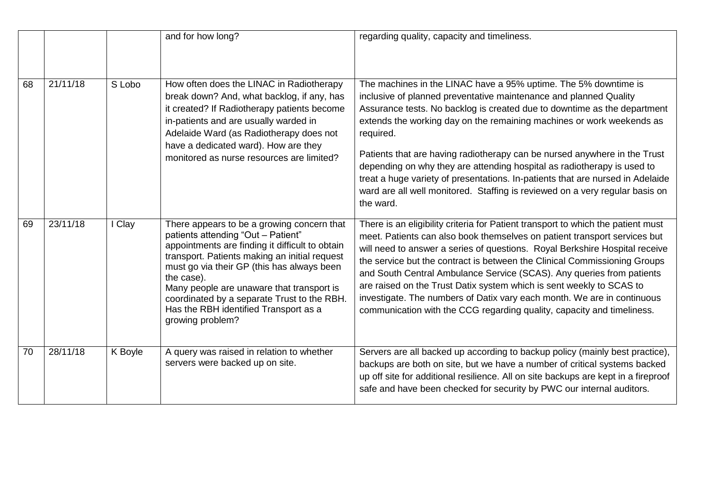|    |          |         | and for how long?                                                                                                                                                                                                                                                                                                                                                                                         | regarding quality, capacity and timeliness.                                                                                                                                                                                                                                                                                                                                                                                                                                                                                                                                                                                                   |
|----|----------|---------|-----------------------------------------------------------------------------------------------------------------------------------------------------------------------------------------------------------------------------------------------------------------------------------------------------------------------------------------------------------------------------------------------------------|-----------------------------------------------------------------------------------------------------------------------------------------------------------------------------------------------------------------------------------------------------------------------------------------------------------------------------------------------------------------------------------------------------------------------------------------------------------------------------------------------------------------------------------------------------------------------------------------------------------------------------------------------|
| 68 | 21/11/18 | S Lobo  | How often does the LINAC in Radiotherapy<br>break down? And, what backlog, if any, has<br>it created? If Radiotherapy patients become<br>in-patients and are usually warded in<br>Adelaide Ward (as Radiotherapy does not<br>have a dedicated ward). How are they<br>monitored as nurse resources are limited?                                                                                            | The machines in the LINAC have a 95% uptime. The 5% downtime is<br>inclusive of planned preventative maintenance and planned Quality<br>Assurance tests. No backlog is created due to downtime as the department<br>extends the working day on the remaining machines or work weekends as<br>required.<br>Patients that are having radiotherapy can be nursed anywhere in the Trust<br>depending on why they are attending hospital as radiotherapy is used to<br>treat a huge variety of presentations. In-patients that are nursed in Adelaide<br>ward are all well monitored. Staffing is reviewed on a very regular basis on<br>the ward. |
| 69 | 23/11/18 | I Clay  | There appears to be a growing concern that<br>patients attending "Out - Patient"<br>appointments are finding it difficult to obtain<br>transport. Patients making an initial request<br>must go via their GP (this has always been<br>the case).<br>Many people are unaware that transport is<br>coordinated by a separate Trust to the RBH.<br>Has the RBH identified Transport as a<br>growing problem? | There is an eligibility criteria for Patient transport to which the patient must<br>meet. Patients can also book themselves on patient transport services but<br>will need to answer a series of questions. Royal Berkshire Hospital receive<br>the service but the contract is between the Clinical Commissioning Groups<br>and South Central Ambulance Service (SCAS). Any queries from patients<br>are raised on the Trust Datix system which is sent weekly to SCAS to<br>investigate. The numbers of Datix vary each month. We are in continuous<br>communication with the CCG regarding quality, capacity and timeliness.               |
| 70 | 28/11/18 | K Boyle | A query was raised in relation to whether<br>servers were backed up on site.                                                                                                                                                                                                                                                                                                                              | Servers are all backed up according to backup policy (mainly best practice),<br>backups are both on site, but we have a number of critical systems backed<br>up off site for additional resilience. All on site backups are kept in a fireproof<br>safe and have been checked for security by PWC our internal auditors.                                                                                                                                                                                                                                                                                                                      |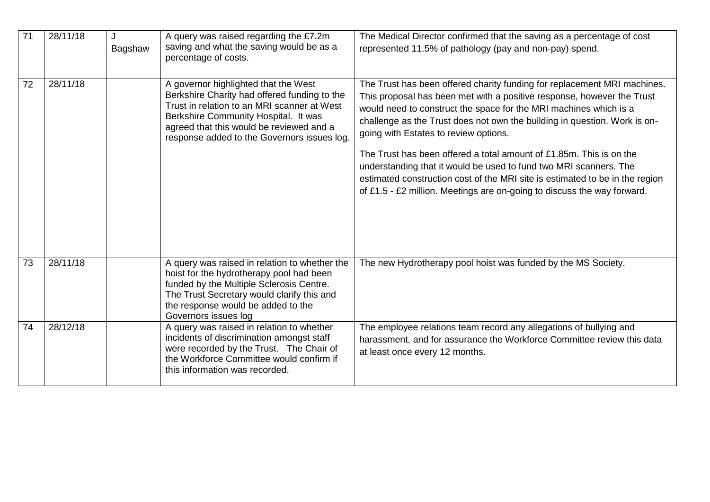| 71 | 28/11/18 | J<br>Bagshaw | A query was raised regarding the £7.2m<br>saving and what the saving would be as a<br>percentage of costs.                                                                                                                                                             | The Medical Director confirmed that the saving as a percentage of cost<br>represented 11.5% of pathology (pay and non-pay) spend.                                                                                                                                                                                                                                                                                                                                                                                                                                                                                                                    |
|----|----------|--------------|------------------------------------------------------------------------------------------------------------------------------------------------------------------------------------------------------------------------------------------------------------------------|------------------------------------------------------------------------------------------------------------------------------------------------------------------------------------------------------------------------------------------------------------------------------------------------------------------------------------------------------------------------------------------------------------------------------------------------------------------------------------------------------------------------------------------------------------------------------------------------------------------------------------------------------|
| 72 | 28/11/18 |              | A governor highlighted that the West<br>Berkshire Charity had offered funding to the<br>Trust in relation to an MRI scanner at West<br>Berkshire Community Hospital. It was<br>agreed that this would be reviewed and a<br>response added to the Governors issues log. | The Trust has been offered charity funding for replacement MRI machines.<br>This proposal has been met with a positive response, however the Trust<br>would need to construct the space for the MRI machines which is a<br>challenge as the Trust does not own the building in question. Work is on-<br>going with Estates to review options.<br>The Trust has been offered a total amount of £1,85m. This is on the<br>understanding that it would be used to fund two MRI scanners. The<br>estimated construction cost of the MRI site is estimated to be in the region<br>of £1.5 - £2 million. Meetings are on-going to discuss the way forward. |
| 73 | 28/11/18 |              | A query was raised in relation to whether the<br>hoist for the hydrotherapy pool had been<br>funded by the Multiple Sclerosis Centre.<br>The Trust Secretary would clarify this and<br>the response would be added to the<br>Governors issues log                      | The new Hydrotherapy pool hoist was funded by the MS Society.                                                                                                                                                                                                                                                                                                                                                                                                                                                                                                                                                                                        |
| 74 | 28/12/18 |              | A query was raised in relation to whether<br>incidents of discrimination amongst staff<br>were recorded by the Trust. The Chair of<br>the Workforce Committee would confirm if<br>this information was recorded.                                                       | The employee relations team record any allegations of bullying and<br>harassment, and for assurance the Workforce Committee review this data<br>at least once every 12 months.                                                                                                                                                                                                                                                                                                                                                                                                                                                                       |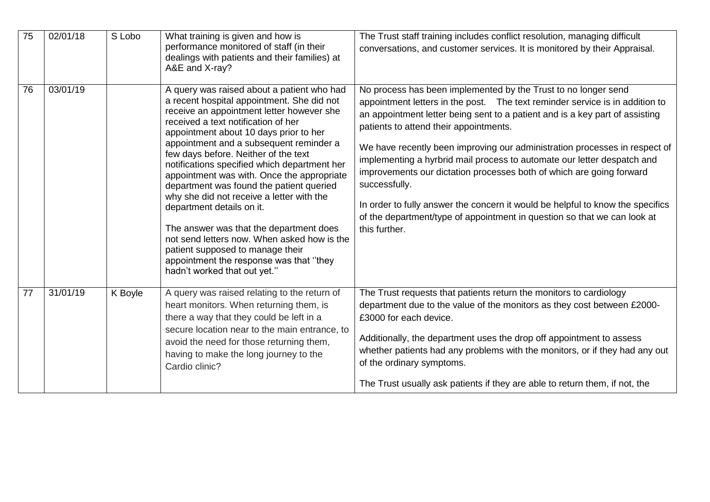| 75 | 02/01/18 | S Lobo  | What training is given and how is<br>performance monitored of staff (in their<br>dealings with patients and their families) at<br>A&E and X-ray?                                                                                                                                                                                                                                                                                                                                                                                                                                                                                                                                                                                       | The Trust staff training includes conflict resolution, managing difficult<br>conversations, and customer services. It is monitored by their Appraisal.                                                                                                                                                                                                                                                                                                                                                                                                                                                                                                                                                    |
|----|----------|---------|----------------------------------------------------------------------------------------------------------------------------------------------------------------------------------------------------------------------------------------------------------------------------------------------------------------------------------------------------------------------------------------------------------------------------------------------------------------------------------------------------------------------------------------------------------------------------------------------------------------------------------------------------------------------------------------------------------------------------------------|-----------------------------------------------------------------------------------------------------------------------------------------------------------------------------------------------------------------------------------------------------------------------------------------------------------------------------------------------------------------------------------------------------------------------------------------------------------------------------------------------------------------------------------------------------------------------------------------------------------------------------------------------------------------------------------------------------------|
| 76 | 03/01/19 |         | A query was raised about a patient who had<br>a recent hospital appointment. She did not<br>receive an appointment letter however she<br>received a text notification of her<br>appointment about 10 days prior to her<br>appointment and a subsequent reminder a<br>few days before. Neither of the text<br>notifications specified which department her<br>appointment was with. Once the appropriate<br>department was found the patient queried<br>why she did not receive a letter with the<br>department details on it.<br>The answer was that the department does<br>not send letters now. When asked how is the<br>patient supposed to manage their<br>appointment the response was that "they<br>hadn't worked that out yet." | No process has been implemented by the Trust to no longer send<br>appointment letters in the post. The text reminder service is in addition to<br>an appointment letter being sent to a patient and is a key part of assisting<br>patients to attend their appointments.<br>We have recently been improving our administration processes in respect of<br>implementing a hyrbrid mail process to automate our letter despatch and<br>improvements our dictation processes both of which are going forward<br>successfully.<br>In order to fully answer the concern it would be helpful to know the specifics<br>of the department/type of appointment in question so that we can look at<br>this further. |
| 77 | 31/01/19 | K Boyle | A query was raised relating to the return of<br>heart monitors. When returning them, is<br>there a way that they could be left in a<br>secure location near to the main entrance, to<br>avoid the need for those returning them,<br>having to make the long journey to the<br>Cardio clinic?                                                                                                                                                                                                                                                                                                                                                                                                                                           | The Trust requests that patients return the monitors to cardiology<br>department due to the value of the monitors as they cost between £2000-<br>£3000 for each device.<br>Additionally, the department uses the drop off appointment to assess<br>whether patients had any problems with the monitors, or if they had any out<br>of the ordinary symptoms.<br>The Trust usually ask patients if they are able to return them, if not, the                                                                                                                                                                                                                                                                |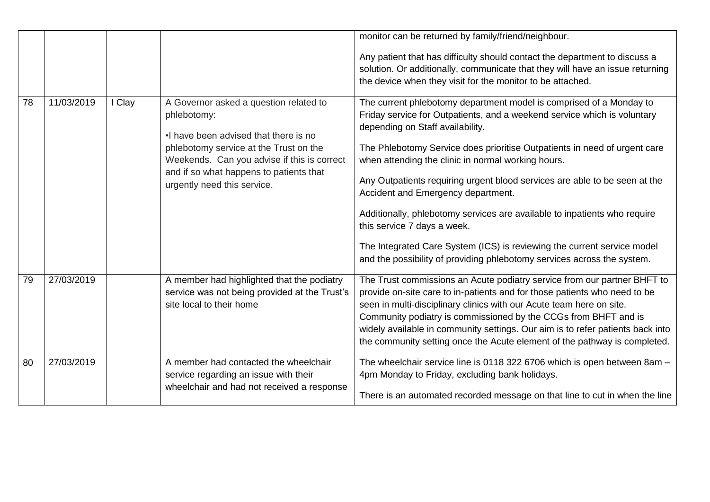|    |            |        |                                                                                                                                                                                                                                                                    | monitor can be returned by family/friend/neighbour.<br>Any patient that has difficulty should contact the department to discuss a<br>solution. Or additionally, communicate that they will have an issue returning<br>the device when they visit for the monitor to be attached.                                                                                                                                                                                                                                                                                                                                                                                                                             |
|----|------------|--------|--------------------------------------------------------------------------------------------------------------------------------------------------------------------------------------------------------------------------------------------------------------------|--------------------------------------------------------------------------------------------------------------------------------------------------------------------------------------------------------------------------------------------------------------------------------------------------------------------------------------------------------------------------------------------------------------------------------------------------------------------------------------------------------------------------------------------------------------------------------------------------------------------------------------------------------------------------------------------------------------|
| 78 | 11/03/2019 | I Clay | A Governor asked a question related to<br>phlebotomy:<br>. I have been advised that there is no<br>phlebotomy service at the Trust on the<br>Weekends. Can you advise if this is correct<br>and if so what happens to patients that<br>urgently need this service. | The current phlebotomy department model is comprised of a Monday to<br>Friday service for Outpatients, and a weekend service which is voluntary<br>depending on Staff availability.<br>The Phlebotomy Service does prioritise Outpatients in need of urgent care<br>when attending the clinic in normal working hours.<br>Any Outpatients requiring urgent blood services are able to be seen at the<br>Accident and Emergency department.<br>Additionally, phlebotomy services are available to inpatients who require<br>this service 7 days a week.<br>The Integrated Care System (ICS) is reviewing the current service model<br>and the possibility of providing phlebotomy services across the system. |
| 79 | 27/03/2019 |        | A member had highlighted that the podiatry<br>service was not being provided at the Trust's<br>site local to their home                                                                                                                                            | The Trust commissions an Acute podiatry service from our partner BHFT to<br>provide on-site care to in-patients and for those patients who need to be<br>seen in multi-disciplinary clinics with our Acute team here on site.<br>Community podiatry is commissioned by the CCGs from BHFT and is<br>widely available in community settings. Our aim is to refer patients back into<br>the community setting once the Acute element of the pathway is completed.                                                                                                                                                                                                                                              |
| 80 | 27/03/2019 |        | A member had contacted the wheelchair<br>service regarding an issue with their<br>wheelchair and had not received a response                                                                                                                                       | The wheelchair service line is 0118 322 6706 which is open between 8am -<br>4pm Monday to Friday, excluding bank holidays.<br>There is an automated recorded message on that line to cut in when the line                                                                                                                                                                                                                                                                                                                                                                                                                                                                                                    |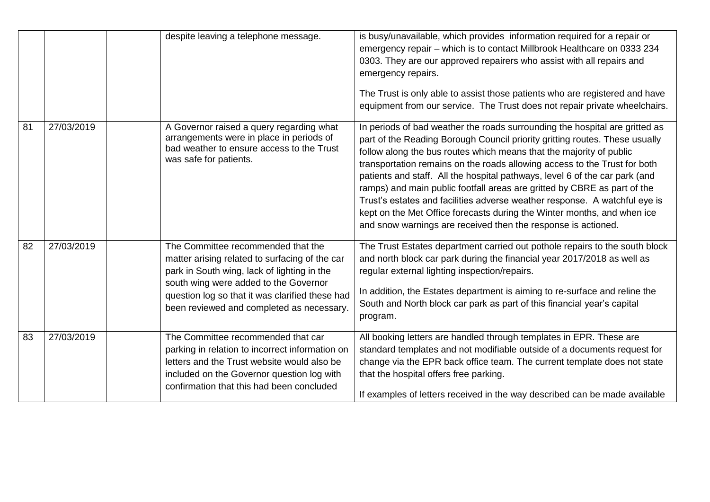|    |            | despite leaving a telephone message.                                                                                                                                                                                                                                         | is busy/unavailable, which provides information required for a repair or<br>emergency repair - which is to contact Millbrook Healthcare on 0333 234<br>0303. They are our approved repairers who assist with all repairs and<br>emergency repairs.<br>The Trust is only able to assist those patients who are registered and have<br>equipment from our service. The Trust does not repair private wheelchairs.                                                                                                                                                                                                                                                                                     |
|----|------------|------------------------------------------------------------------------------------------------------------------------------------------------------------------------------------------------------------------------------------------------------------------------------|-----------------------------------------------------------------------------------------------------------------------------------------------------------------------------------------------------------------------------------------------------------------------------------------------------------------------------------------------------------------------------------------------------------------------------------------------------------------------------------------------------------------------------------------------------------------------------------------------------------------------------------------------------------------------------------------------------|
| 81 | 27/03/2019 | A Governor raised a query regarding what<br>arrangements were in place in periods of<br>bad weather to ensure access to the Trust<br>was safe for patients.                                                                                                                  | In periods of bad weather the roads surrounding the hospital are gritted as<br>part of the Reading Borough Council priority gritting routes. These usually<br>follow along the bus routes which means that the majority of public<br>transportation remains on the roads allowing access to the Trust for both<br>patients and staff. All the hospital pathways, level 6 of the car park (and<br>ramps) and main public footfall areas are gritted by CBRE as part of the<br>Trust's estates and facilities adverse weather response. A watchful eye is<br>kept on the Met Office forecasts during the Winter months, and when ice<br>and snow warnings are received then the response is actioned. |
| 82 | 27/03/2019 | The Committee recommended that the<br>matter arising related to surfacing of the car<br>park in South wing, lack of lighting in the<br>south wing were added to the Governor<br>question log so that it was clarified these had<br>been reviewed and completed as necessary. | The Trust Estates department carried out pothole repairs to the south block<br>and north block car park during the financial year 2017/2018 as well as<br>regular external lighting inspection/repairs.<br>In addition, the Estates department is aiming to re-surface and reline the<br>South and North block car park as part of this financial year's capital<br>program.                                                                                                                                                                                                                                                                                                                        |
| 83 | 27/03/2019 | The Committee recommended that car<br>parking in relation to incorrect information on<br>letters and the Trust website would also be<br>included on the Governor question log with<br>confirmation that this had been concluded                                              | All booking letters are handled through templates in EPR. These are<br>standard templates and not modifiable outside of a documents request for<br>change via the EPR back office team. The current template does not state<br>that the hospital offers free parking.<br>If examples of letters received in the way described can be made available                                                                                                                                                                                                                                                                                                                                                 |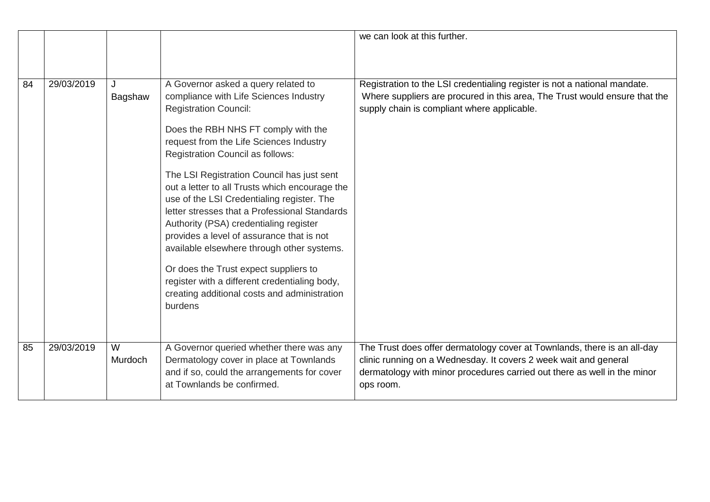|    |            |              |                                                                                                                                                                                                                                                                                                                                                                                                                                                                                                                                                                                                                                                                                                                                     | we can look at this further.                                                                                                                                                                                                          |
|----|------------|--------------|-------------------------------------------------------------------------------------------------------------------------------------------------------------------------------------------------------------------------------------------------------------------------------------------------------------------------------------------------------------------------------------------------------------------------------------------------------------------------------------------------------------------------------------------------------------------------------------------------------------------------------------------------------------------------------------------------------------------------------------|---------------------------------------------------------------------------------------------------------------------------------------------------------------------------------------------------------------------------------------|
|    |            |              |                                                                                                                                                                                                                                                                                                                                                                                                                                                                                                                                                                                                                                                                                                                                     |                                                                                                                                                                                                                                       |
| 84 | 29/03/2019 | Bagshaw      | A Governor asked a query related to<br>compliance with Life Sciences Industry<br><b>Registration Council:</b><br>Does the RBH NHS FT comply with the<br>request from the Life Sciences Industry<br><b>Registration Council as follows:</b><br>The LSI Registration Council has just sent<br>out a letter to all Trusts which encourage the<br>use of the LSI Credentialing register. The<br>letter stresses that a Professional Standards<br>Authority (PSA) credentialing register<br>provides a level of assurance that is not<br>available elsewhere through other systems.<br>Or does the Trust expect suppliers to<br>register with a different credentialing body,<br>creating additional costs and administration<br>burdens | Registration to the LSI credentialing register is not a national mandate.<br>Where suppliers are procured in this area, The Trust would ensure that the<br>supply chain is compliant where applicable.                                |
| 85 | 29/03/2019 | W<br>Murdoch | A Governor queried whether there was any<br>Dermatology cover in place at Townlands<br>and if so, could the arrangements for cover<br>at Townlands be confirmed.                                                                                                                                                                                                                                                                                                                                                                                                                                                                                                                                                                    | The Trust does offer dermatology cover at Townlands, there is an all-day<br>clinic running on a Wednesday. It covers 2 week wait and general<br>dermatology with minor procedures carried out there as well in the minor<br>ops room. |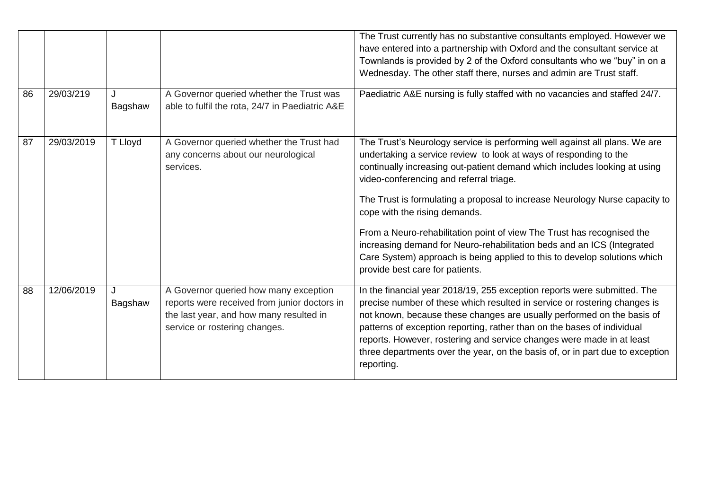|    |            |              |                                                                                                                                                                   | The Trust currently has no substantive consultants employed. However we<br>have entered into a partnership with Oxford and the consultant service at<br>Townlands is provided by 2 of the Oxford consultants who we "buy" in on a<br>Wednesday. The other staff there, nurses and admin are Trust staff.                                                                                                                                                                           |
|----|------------|--------------|-------------------------------------------------------------------------------------------------------------------------------------------------------------------|------------------------------------------------------------------------------------------------------------------------------------------------------------------------------------------------------------------------------------------------------------------------------------------------------------------------------------------------------------------------------------------------------------------------------------------------------------------------------------|
| 86 | 29/03/219  | J<br>Bagshaw | A Governor queried whether the Trust was<br>able to fulfil the rota, 24/7 in Paediatric A&E                                                                       | Paediatric A&E nursing is fully staffed with no vacancies and staffed 24/7.                                                                                                                                                                                                                                                                                                                                                                                                        |
| 87 | 29/03/2019 | T Lloyd      | A Governor queried whether the Trust had<br>any concerns about our neurological<br>services.                                                                      | The Trust's Neurology service is performing well against all plans. We are<br>undertaking a service review to look at ways of responding to the<br>continually increasing out-patient demand which includes looking at using<br>video-conferencing and referral triage.                                                                                                                                                                                                            |
|    |            |              |                                                                                                                                                                   | The Trust is formulating a proposal to increase Neurology Nurse capacity to<br>cope with the rising demands.                                                                                                                                                                                                                                                                                                                                                                       |
|    |            |              |                                                                                                                                                                   | From a Neuro-rehabilitation point of view The Trust has recognised the<br>increasing demand for Neuro-rehabilitation beds and an ICS (Integrated<br>Care System) approach is being applied to this to develop solutions which<br>provide best care for patients.                                                                                                                                                                                                                   |
| 88 | 12/06/2019 | J<br>Bagshaw | A Governor queried how many exception<br>reports were received from junior doctors in<br>the last year, and how many resulted in<br>service or rostering changes. | In the financial year 2018/19, 255 exception reports were submitted. The<br>precise number of these which resulted in service or rostering changes is<br>not known, because these changes are usually performed on the basis of<br>patterns of exception reporting, rather than on the bases of individual<br>reports. However, rostering and service changes were made in at least<br>three departments over the year, on the basis of, or in part due to exception<br>reporting. |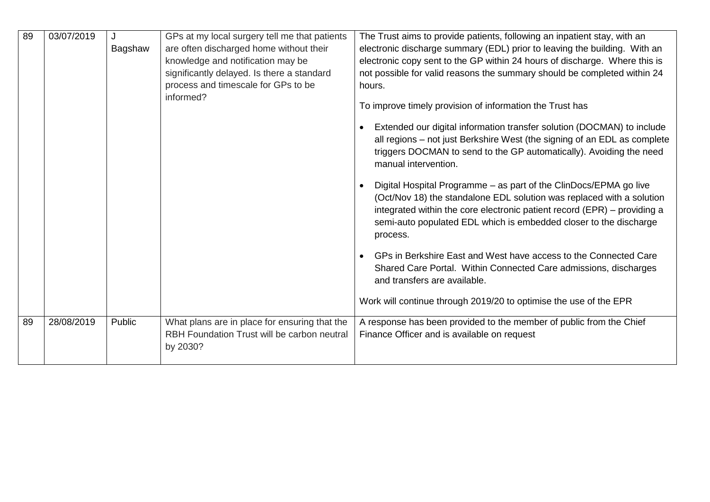| 89 | 03/07/2019 | Bagshaw | GPs at my local surgery tell me that patients<br>are often discharged home without their<br>knowledge and notification may be<br>significantly delayed. Is there a standard<br>process and timescale for GPs to be<br>informed? | The Trust aims to provide patients, following an inpatient stay, with an<br>electronic discharge summary (EDL) prior to leaving the building. With an<br>electronic copy sent to the GP within 24 hours of discharge. Where this is<br>not possible for valid reasons the summary should be completed within 24<br>hours.<br>To improve timely provision of information the Trust has<br>Extended our digital information transfer solution (DOCMAN) to include<br>all regions – not just Berkshire West (the signing of an EDL as complete<br>triggers DOCMAN to send to the GP automatically). Avoiding the need<br>manual intervention.<br>Digital Hospital Programme - as part of the ClinDocs/EPMA go live<br>(Oct/Nov 18) the standalone EDL solution was replaced with a solution<br>integrated within the core electronic patient record (EPR) – providing a<br>semi-auto populated EDL which is embedded closer to the discharge<br>process.<br>GPs in Berkshire East and West have access to the Connected Care<br>Shared Care Portal. Within Connected Care admissions, discharges<br>and transfers are available.<br>Work will continue through 2019/20 to optimise the use of the EPR |
|----|------------|---------|---------------------------------------------------------------------------------------------------------------------------------------------------------------------------------------------------------------------------------|----------------------------------------------------------------------------------------------------------------------------------------------------------------------------------------------------------------------------------------------------------------------------------------------------------------------------------------------------------------------------------------------------------------------------------------------------------------------------------------------------------------------------------------------------------------------------------------------------------------------------------------------------------------------------------------------------------------------------------------------------------------------------------------------------------------------------------------------------------------------------------------------------------------------------------------------------------------------------------------------------------------------------------------------------------------------------------------------------------------------------------------------------------------------------------------------------|
| 89 | 28/08/2019 | Public  | What plans are in place for ensuring that the<br>RBH Foundation Trust will be carbon neutral<br>by 2030?                                                                                                                        | A response has been provided to the member of public from the Chief<br>Finance Officer and is available on request                                                                                                                                                                                                                                                                                                                                                                                                                                                                                                                                                                                                                                                                                                                                                                                                                                                                                                                                                                                                                                                                                 |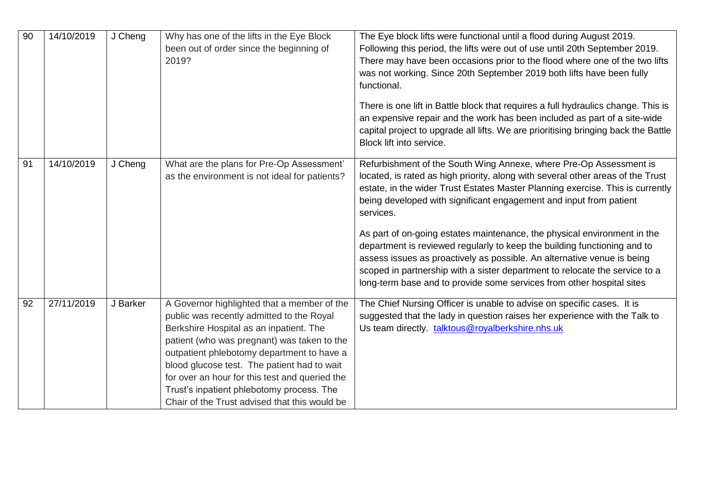| 90 | 14/10/2019 | J Cheng  | Why has one of the lifts in the Eye Block<br>been out of order since the beginning of<br>2019?                                                                                                                                                                                                                                                                                                                                  | The Eye block lifts were functional until a flood during August 2019.<br>Following this period, the lifts were out of use until 20th September 2019.<br>There may have been occasions prior to the flood where one of the two lifts<br>was not working. Since 20th September 2019 both lifts have been fully<br>functional.<br>There is one lift in Battle block that requires a full hydraulics change. This is<br>an expensive repair and the work has been included as part of a site-wide<br>capital project to upgrade all lifts. We are prioritising bringing back the Battle<br>Block lift into service.                                                                                                       |
|----|------------|----------|---------------------------------------------------------------------------------------------------------------------------------------------------------------------------------------------------------------------------------------------------------------------------------------------------------------------------------------------------------------------------------------------------------------------------------|-----------------------------------------------------------------------------------------------------------------------------------------------------------------------------------------------------------------------------------------------------------------------------------------------------------------------------------------------------------------------------------------------------------------------------------------------------------------------------------------------------------------------------------------------------------------------------------------------------------------------------------------------------------------------------------------------------------------------|
| 91 | 14/10/2019 | J Cheng  | What are the plans for Pre-Op Assessment'<br>as the environment is not ideal for patients?                                                                                                                                                                                                                                                                                                                                      | Refurbishment of the South Wing Annexe, where Pre-Op Assessment is<br>located, is rated as high priority, along with several other areas of the Trust<br>estate, in the wider Trust Estates Master Planning exercise. This is currently<br>being developed with significant engagement and input from patient<br>services.<br>As part of on-going estates maintenance, the physical environment in the<br>department is reviewed regularly to keep the building functioning and to<br>assess issues as proactively as possible. An alternative venue is being<br>scoped in partnership with a sister department to relocate the service to a<br>long-term base and to provide some services from other hospital sites |
| 92 | 27/11/2019 | J Barker | A Governor highlighted that a member of the<br>public was recently admitted to the Royal<br>Berkshire Hospital as an inpatient. The<br>patient (who was pregnant) was taken to the<br>outpatient phlebotomy department to have a<br>blood glucose test. The patient had to wait<br>for over an hour for this test and queried the<br>Trust's inpatient phlebotomy process. The<br>Chair of the Trust advised that this would be | The Chief Nursing Officer is unable to advise on specific cases. It is<br>suggested that the lady in question raises her experience with the Talk to<br>Us team directly. talktous@royalberkshire.nhs.uk                                                                                                                                                                                                                                                                                                                                                                                                                                                                                                              |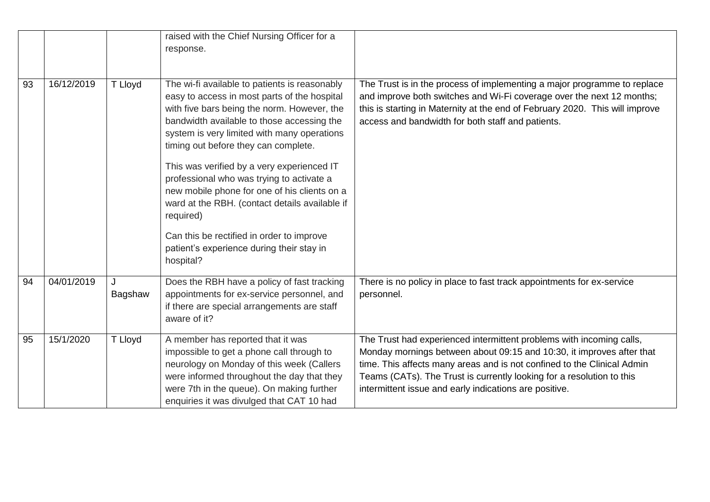|    |            |              | raised with the Chief Nursing Officer for a<br>response.                                                                                                                                                                                                                                                                                                                                                                                                                                                                                                                                           |                                                                                                                                                                                                                                                                                                                                                             |
|----|------------|--------------|----------------------------------------------------------------------------------------------------------------------------------------------------------------------------------------------------------------------------------------------------------------------------------------------------------------------------------------------------------------------------------------------------------------------------------------------------------------------------------------------------------------------------------------------------------------------------------------------------|-------------------------------------------------------------------------------------------------------------------------------------------------------------------------------------------------------------------------------------------------------------------------------------------------------------------------------------------------------------|
| 93 | 16/12/2019 | T Lloyd      | The wi-fi available to patients is reasonably<br>easy to access in most parts of the hospital<br>with five bars being the norm. However, the<br>bandwidth available to those accessing the<br>system is very limited with many operations<br>timing out before they can complete.<br>This was verified by a very experienced IT<br>professional who was trying to activate a<br>new mobile phone for one of his clients on a<br>ward at the RBH. (contact details available if<br>required)<br>Can this be rectified in order to improve<br>patient's experience during their stay in<br>hospital? | The Trust is in the process of implementing a major programme to replace<br>and improve both switches and Wi-Fi coverage over the next 12 months;<br>this is starting in Maternity at the end of February 2020. This will improve<br>access and bandwidth for both staff and patients.                                                                      |
| 94 | 04/01/2019 | J<br>Bagshaw | Does the RBH have a policy of fast tracking<br>appointments for ex-service personnel, and<br>if there are special arrangements are staff<br>aware of it?                                                                                                                                                                                                                                                                                                                                                                                                                                           | There is no policy in place to fast track appointments for ex-service<br>personnel.                                                                                                                                                                                                                                                                         |
| 95 | 15/1/2020  | T Lloyd      | A member has reported that it was<br>impossible to get a phone call through to<br>neurology on Monday of this week (Callers<br>were informed throughout the day that they<br>were 7th in the queue). On making further<br>enquiries it was divulged that CAT 10 had                                                                                                                                                                                                                                                                                                                                | The Trust had experienced intermittent problems with incoming calls,<br>Monday mornings between about 09:15 and 10:30, it improves after that<br>time. This affects many areas and is not confined to the Clinical Admin<br>Teams (CATs). The Trust is currently looking for a resolution to this<br>intermittent issue and early indications are positive. |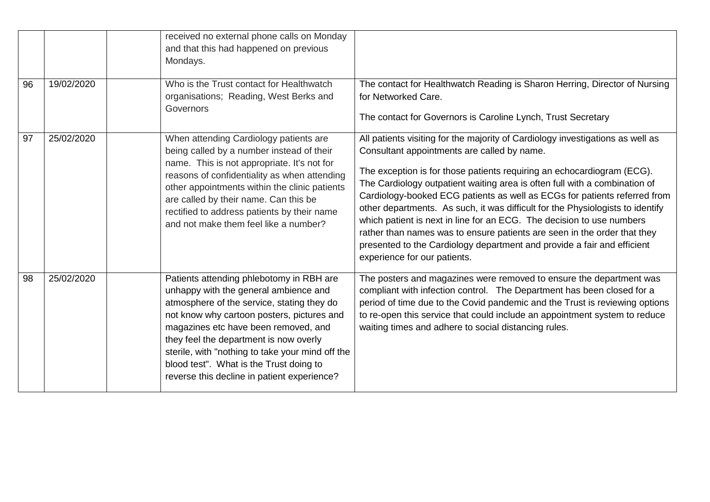|    |            | received no external phone calls on Monday<br>and that this had happened on previous<br>Mondays.                                                                                                                                                                                                                                                                                                              |                                                                                                                                                                                                                                                                                                                                                                                                                                                                                                                                                                                                                                                                                                                      |
|----|------------|---------------------------------------------------------------------------------------------------------------------------------------------------------------------------------------------------------------------------------------------------------------------------------------------------------------------------------------------------------------------------------------------------------------|----------------------------------------------------------------------------------------------------------------------------------------------------------------------------------------------------------------------------------------------------------------------------------------------------------------------------------------------------------------------------------------------------------------------------------------------------------------------------------------------------------------------------------------------------------------------------------------------------------------------------------------------------------------------------------------------------------------------|
| 96 | 19/02/2020 | Who is the Trust contact for Healthwatch<br>organisations; Reading, West Berks and<br>Governors                                                                                                                                                                                                                                                                                                               | The contact for Healthwatch Reading is Sharon Herring, Director of Nursing<br>for Networked Care.<br>The contact for Governors is Caroline Lynch, Trust Secretary                                                                                                                                                                                                                                                                                                                                                                                                                                                                                                                                                    |
| 97 | 25/02/2020 | When attending Cardiology patients are<br>being called by a number instead of their<br>name. This is not appropriate. It's not for<br>reasons of confidentiality as when attending<br>other appointments within the clinic patients<br>are called by their name. Can this be<br>rectified to address patients by their name<br>and not make them feel like a number?                                          | All patients visiting for the majority of Cardiology investigations as well as<br>Consultant appointments are called by name.<br>The exception is for those patients requiring an echocardiogram (ECG).<br>The Cardiology outpatient waiting area is often full with a combination of<br>Cardiology-booked ECG patients as well as ECGs for patients referred from<br>other departments. As such, it was difficult for the Physiologists to identify<br>which patient is next in line for an ECG. The decision to use numbers<br>rather than names was to ensure patients are seen in the order that they<br>presented to the Cardiology department and provide a fair and efficient<br>experience for our patients. |
| 98 | 25/02/2020 | Patients attending phlebotomy in RBH are<br>unhappy with the general ambience and<br>atmosphere of the service, stating they do<br>not know why cartoon posters, pictures and<br>magazines etc have been removed, and<br>they feel the department is now overly<br>sterile, with "nothing to take your mind off the<br>blood test". What is the Trust doing to<br>reverse this decline in patient experience? | The posters and magazines were removed to ensure the department was<br>compliant with infection control. The Department has been closed for a<br>period of time due to the Covid pandemic and the Trust is reviewing options<br>to re-open this service that could include an appointment system to reduce<br>waiting times and adhere to social distancing rules.                                                                                                                                                                                                                                                                                                                                                   |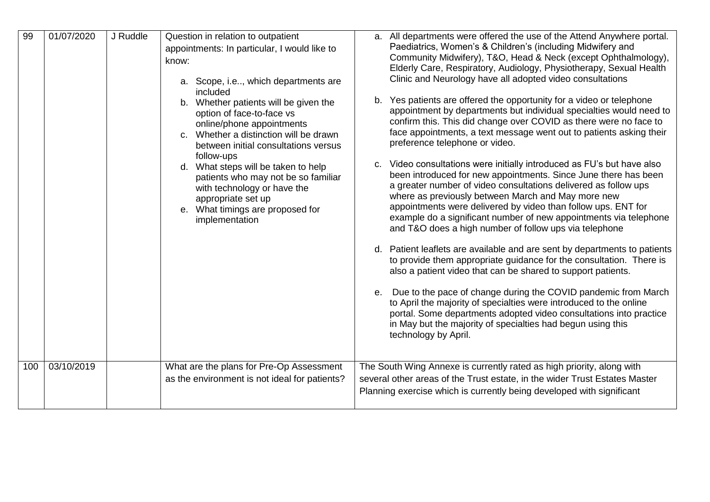| 99  | 01/07/2020 | J Ruddle | Question in relation to outpatient<br>appointments: In particular, I would like to<br>know:<br>a. Scope, i.e, which departments are<br>included<br>b. Whether patients will be given the<br>option of face-to-face vs<br>online/phone appointments<br>c. Whether a distinction will be drawn<br>between initial consultations versus<br>follow-ups<br>d. What steps will be taken to help<br>patients who may not be so familiar<br>with technology or have the<br>appropriate set up<br>e. What timings are proposed for<br>implementation | a. All departments were offered the use of the Attend Anywhere portal.<br>Paediatrics, Women's & Children's (including Midwifery and<br>Community Midwifery), T&O, Head & Neck (except Ophthalmology),<br>Elderly Care, Respiratory, Audiology, Physiotherapy, Sexual Health<br>Clinic and Neurology have all adopted video consultations<br>b. Yes patients are offered the opportunity for a video or telephone<br>appointment by departments but individual specialties would need to<br>confirm this. This did change over COVID as there were no face to<br>face appointments, a text message went out to patients asking their<br>preference telephone or video.<br>c. Video consultations were initially introduced as FU's but have also<br>been introduced for new appointments. Since June there has been<br>a greater number of video consultations delivered as follow ups<br>where as previously between March and May more new<br>appointments were delivered by video than follow ups. ENT for<br>example do a significant number of new appointments via telephone<br>and T&O does a high number of follow ups via telephone<br>d. Patient leaflets are available and are sent by departments to patients<br>to provide them appropriate guidance for the consultation. There is<br>also a patient video that can be shared to support patients.<br>e. Due to the pace of change during the COVID pandemic from March<br>to April the majority of specialties were introduced to the online<br>portal. Some departments adopted video consultations into practice<br>in May but the majority of specialties had begun using this<br>technology by April. |
|-----|------------|----------|---------------------------------------------------------------------------------------------------------------------------------------------------------------------------------------------------------------------------------------------------------------------------------------------------------------------------------------------------------------------------------------------------------------------------------------------------------------------------------------------------------------------------------------------|--------------------------------------------------------------------------------------------------------------------------------------------------------------------------------------------------------------------------------------------------------------------------------------------------------------------------------------------------------------------------------------------------------------------------------------------------------------------------------------------------------------------------------------------------------------------------------------------------------------------------------------------------------------------------------------------------------------------------------------------------------------------------------------------------------------------------------------------------------------------------------------------------------------------------------------------------------------------------------------------------------------------------------------------------------------------------------------------------------------------------------------------------------------------------------------------------------------------------------------------------------------------------------------------------------------------------------------------------------------------------------------------------------------------------------------------------------------------------------------------------------------------------------------------------------------------------------------------------------------------------------------------------------------------------|
| 100 | 03/10/2019 |          | What are the plans for Pre-Op Assessment<br>as the environment is not ideal for patients?                                                                                                                                                                                                                                                                                                                                                                                                                                                   | The South Wing Annexe is currently rated as high priority, along with<br>several other areas of the Trust estate, in the wider Trust Estates Master<br>Planning exercise which is currently being developed with significant                                                                                                                                                                                                                                                                                                                                                                                                                                                                                                                                                                                                                                                                                                                                                                                                                                                                                                                                                                                                                                                                                                                                                                                                                                                                                                                                                                                                                                             |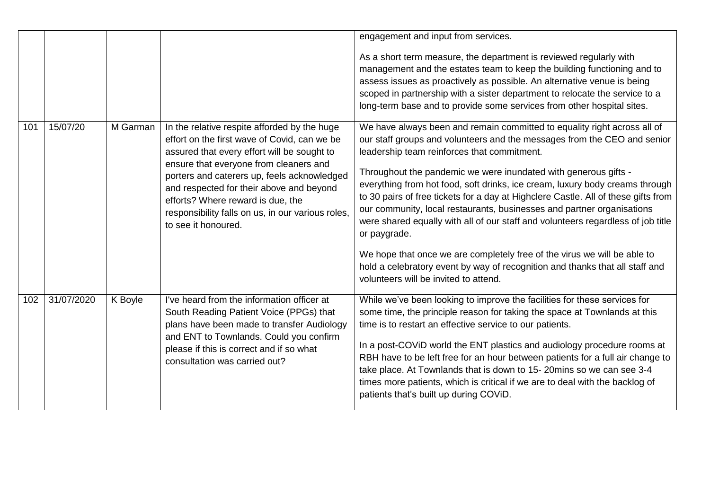|     |            |          |                                                                                                                                                                                                                                                                                                                                                                                                   | engagement and input from services.<br>As a short term measure, the department is reviewed regularly with<br>management and the estates team to keep the building functioning and to<br>assess issues as proactively as possible. An alternative venue is being<br>scoped in partnership with a sister department to relocate the service to a<br>long-term base and to provide some services from other hospital sites.                                                                                                                                                                                                                                                                                                                                                                                                        |
|-----|------------|----------|---------------------------------------------------------------------------------------------------------------------------------------------------------------------------------------------------------------------------------------------------------------------------------------------------------------------------------------------------------------------------------------------------|---------------------------------------------------------------------------------------------------------------------------------------------------------------------------------------------------------------------------------------------------------------------------------------------------------------------------------------------------------------------------------------------------------------------------------------------------------------------------------------------------------------------------------------------------------------------------------------------------------------------------------------------------------------------------------------------------------------------------------------------------------------------------------------------------------------------------------|
| 101 | 15/07/20   | M Garman | In the relative respite afforded by the huge<br>effort on the first wave of Covid, can we be<br>assured that every effort will be sought to<br>ensure that everyone from cleaners and<br>porters and caterers up, feels acknowledged<br>and respected for their above and beyond<br>efforts? Where reward is due, the<br>responsibility falls on us, in our various roles,<br>to see it honoured. | We have always been and remain committed to equality right across all of<br>our staff groups and volunteers and the messages from the CEO and senior<br>leadership team reinforces that commitment.<br>Throughout the pandemic we were inundated with generous gifts -<br>everything from hot food, soft drinks, ice cream, luxury body creams through<br>to 30 pairs of free tickets for a day at Highclere Castle. All of these gifts from<br>our community, local restaurants, businesses and partner organisations<br>were shared equally with all of our staff and volunteers regardless of job title<br>or paygrade.<br>We hope that once we are completely free of the virus we will be able to<br>hold a celebratory event by way of recognition and thanks that all staff and<br>volunteers will be invited to attend. |
| 102 | 31/07/2020 | K Boyle  | I've heard from the information officer at<br>South Reading Patient Voice (PPGs) that<br>plans have been made to transfer Audiology<br>and ENT to Townlands. Could you confirm<br>please if this is correct and if so what<br>consultation was carried out?                                                                                                                                       | While we've been looking to improve the facilities for these services for<br>some time, the principle reason for taking the space at Townlands at this<br>time is to restart an effective service to our patients.<br>In a post-COVID world the ENT plastics and audiology procedure rooms at<br>RBH have to be left free for an hour between patients for a full air change to<br>take place. At Townlands that is down to 15-20mins so we can see 3-4<br>times more patients, which is critical if we are to deal with the backlog of<br>patients that's built up during COViD.                                                                                                                                                                                                                                               |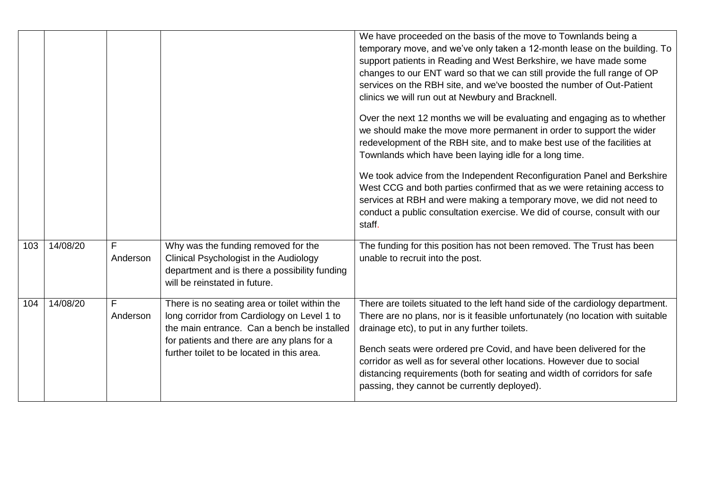|     |          |               |                                                                                                                                                                                                                                         | We have proceeded on the basis of the move to Townlands being a<br>temporary move, and we've only taken a 12-month lease on the building. To<br>support patients in Reading and West Berkshire, we have made some<br>changes to our ENT ward so that we can still provide the full range of OP<br>services on the RBH site, and we've boosted the number of Out-Patient<br>clinics we will run out at Newbury and Bracknell.<br>Over the next 12 months we will be evaluating and engaging as to whether<br>we should make the move more permanent in order to support the wider<br>redevelopment of the RBH site, and to make best use of the facilities at<br>Townlands which have been laying idle for a long time.<br>We took advice from the Independent Reconfiguration Panel and Berkshire |
|-----|----------|---------------|-----------------------------------------------------------------------------------------------------------------------------------------------------------------------------------------------------------------------------------------|---------------------------------------------------------------------------------------------------------------------------------------------------------------------------------------------------------------------------------------------------------------------------------------------------------------------------------------------------------------------------------------------------------------------------------------------------------------------------------------------------------------------------------------------------------------------------------------------------------------------------------------------------------------------------------------------------------------------------------------------------------------------------------------------------|
|     |          |               |                                                                                                                                                                                                                                         | West CCG and both parties confirmed that as we were retaining access to<br>services at RBH and were making a temporary move, we did not need to<br>conduct a public consultation exercise. We did of course, consult with our<br>staff.                                                                                                                                                                                                                                                                                                                                                                                                                                                                                                                                                           |
| 103 | 14/08/20 | F<br>Anderson | Why was the funding removed for the<br>Clinical Psychologist in the Audiology<br>department and is there a possibility funding<br>will be reinstated in future.                                                                         | The funding for this position has not been removed. The Trust has been<br>unable to recruit into the post.                                                                                                                                                                                                                                                                                                                                                                                                                                                                                                                                                                                                                                                                                        |
| 104 | 14/08/20 | F<br>Anderson | There is no seating area or toilet within the<br>long corridor from Cardiology on Level 1 to<br>the main entrance. Can a bench be installed<br>for patients and there are any plans for a<br>further toilet to be located in this area. | There are toilets situated to the left hand side of the cardiology department.<br>There are no plans, nor is it feasible unfortunately (no location with suitable<br>drainage etc), to put in any further toilets.<br>Bench seats were ordered pre Covid, and have been delivered for the<br>corridor as well as for several other locations. However due to social<br>distancing requirements (both for seating and width of corridors for safe<br>passing, they cannot be currently deployed).                                                                                                                                                                                                                                                                                                  |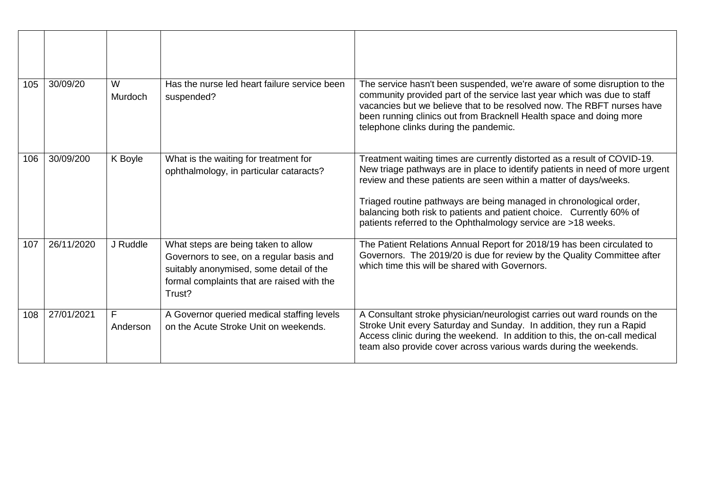| 105 | 30/09/20   | W<br>Murdoch   | Has the nurse led heart failure service been<br>suspended?                                                                                                                         | The service hasn't been suspended, we're aware of some disruption to the<br>community provided part of the service last year which was due to staff<br>vacancies but we believe that to be resolved now. The RBFT nurses have<br>been running clinics out from Bracknell Health space and doing more<br>telephone clinks during the pandemic.                                                                                                |
|-----|------------|----------------|------------------------------------------------------------------------------------------------------------------------------------------------------------------------------------|----------------------------------------------------------------------------------------------------------------------------------------------------------------------------------------------------------------------------------------------------------------------------------------------------------------------------------------------------------------------------------------------------------------------------------------------|
| 106 | 30/09/200  | K Boyle        | What is the waiting for treatment for<br>ophthalmology, in particular cataracts?                                                                                                   | Treatment waiting times are currently distorted as a result of COVID-19.<br>New triage pathways are in place to identify patients in need of more urgent<br>review and these patients are seen within a matter of days/weeks.<br>Triaged routine pathways are being managed in chronological order,<br>balancing both risk to patients and patient choice. Currently 60% of<br>patients referred to the Ophthalmology service are >18 weeks. |
| 107 | 26/11/2020 | J Ruddle       | What steps are being taken to allow<br>Governors to see, on a regular basis and<br>suitably anonymised, some detail of the<br>formal complaints that are raised with the<br>Trust? | The Patient Relations Annual Report for 2018/19 has been circulated to<br>Governors. The 2019/20 is due for review by the Quality Committee after<br>which time this will be shared with Governors.                                                                                                                                                                                                                                          |
| 108 | 27/01/2021 | F.<br>Anderson | A Governor queried medical staffing levels<br>on the Acute Stroke Unit on weekends.                                                                                                | A Consultant stroke physician/neurologist carries out ward rounds on the<br>Stroke Unit every Saturday and Sunday. In addition, they run a Rapid<br>Access clinic during the weekend. In addition to this, the on-call medical<br>team also provide cover across various wards during the weekends.                                                                                                                                          |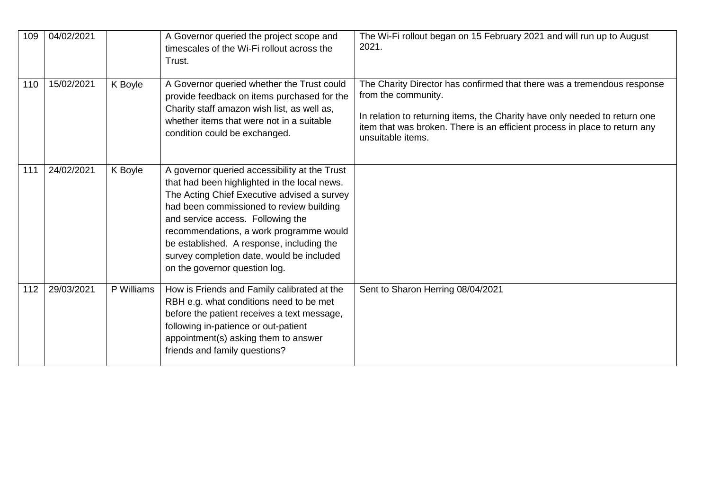| 109 | 04/02/2021 |            | A Governor queried the project scope and<br>timescales of the Wi-Fi rollout across the<br>Trust.                                                                                                                                                                                                                                                                                                    | The Wi-Fi rollout began on 15 February 2021 and will run up to August<br>2021.                                                                                                                                                                                                  |
|-----|------------|------------|-----------------------------------------------------------------------------------------------------------------------------------------------------------------------------------------------------------------------------------------------------------------------------------------------------------------------------------------------------------------------------------------------------|---------------------------------------------------------------------------------------------------------------------------------------------------------------------------------------------------------------------------------------------------------------------------------|
| 110 | 15/02/2021 | K Boyle    | A Governor queried whether the Trust could<br>provide feedback on items purchased for the<br>Charity staff amazon wish list, as well as,<br>whether items that were not in a suitable<br>condition could be exchanged.                                                                                                                                                                              | The Charity Director has confirmed that there was a tremendous response<br>from the community.<br>In relation to returning items, the Charity have only needed to return one<br>item that was broken. There is an efficient process in place to return any<br>unsuitable items. |
| 111 | 24/02/2021 | K Boyle    | A governor queried accessibility at the Trust<br>that had been highlighted in the local news.<br>The Acting Chief Executive advised a survey<br>had been commissioned to review building<br>and service access. Following the<br>recommendations, a work programme would<br>be established. A response, including the<br>survey completion date, would be included<br>on the governor question log. |                                                                                                                                                                                                                                                                                 |
| 112 | 29/03/2021 | P Williams | How is Friends and Family calibrated at the<br>RBH e.g. what conditions need to be met<br>before the patient receives a text message,<br>following in-patience or out-patient<br>appointment(s) asking them to answer<br>friends and family questions?                                                                                                                                              | Sent to Sharon Herring 08/04/2021                                                                                                                                                                                                                                               |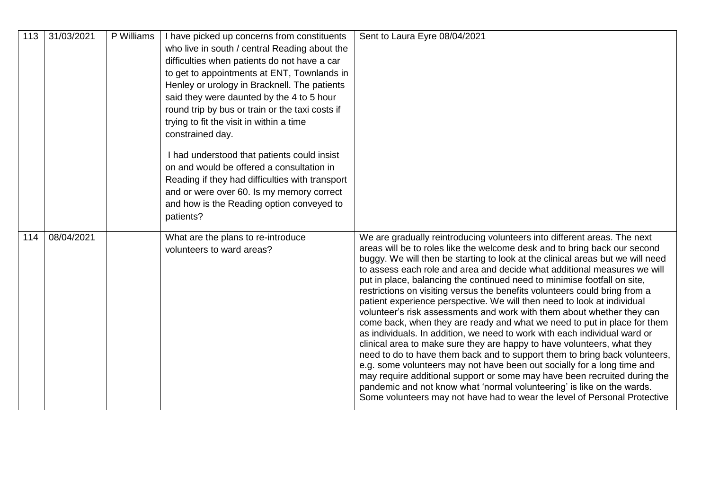| 113 | 31/03/2021 | P Williams | I have picked up concerns from constituents<br>who live in south / central Reading about the<br>difficulties when patients do not have a car<br>to get to appointments at ENT, Townlands in<br>Henley or urology in Bracknell. The patients<br>said they were daunted by the 4 to 5 hour<br>round trip by bus or train or the taxi costs if<br>trying to fit the visit in within a time<br>constrained day.<br>I had understood that patients could insist<br>on and would be offered a consultation in<br>Reading if they had difficulties with transport<br>and or were over 60. Is my memory correct<br>and how is the Reading option conveyed to<br>patients? | Sent to Laura Eyre 08/04/2021                                                                                                                                                                                                                                                                                                                                                                                                                                                                                                                                                                                                                                                                                                                                                                                                                                                                                                                                                                                                                                                                                                                                                                                                                                       |
|-----|------------|------------|-------------------------------------------------------------------------------------------------------------------------------------------------------------------------------------------------------------------------------------------------------------------------------------------------------------------------------------------------------------------------------------------------------------------------------------------------------------------------------------------------------------------------------------------------------------------------------------------------------------------------------------------------------------------|---------------------------------------------------------------------------------------------------------------------------------------------------------------------------------------------------------------------------------------------------------------------------------------------------------------------------------------------------------------------------------------------------------------------------------------------------------------------------------------------------------------------------------------------------------------------------------------------------------------------------------------------------------------------------------------------------------------------------------------------------------------------------------------------------------------------------------------------------------------------------------------------------------------------------------------------------------------------------------------------------------------------------------------------------------------------------------------------------------------------------------------------------------------------------------------------------------------------------------------------------------------------|
| 114 | 08/04/2021 |            | What are the plans to re-introduce<br>volunteers to ward areas?                                                                                                                                                                                                                                                                                                                                                                                                                                                                                                                                                                                                   | We are gradually reintroducing volunteers into different areas. The next<br>areas will be to roles like the welcome desk and to bring back our second<br>buggy. We will then be starting to look at the clinical areas but we will need<br>to assess each role and area and decide what additional measures we will<br>put in place, balancing the continued need to minimise footfall on site,<br>restrictions on visiting versus the benefits volunteers could bring from a<br>patient experience perspective. We will then need to look at individual<br>volunteer's risk assessments and work with them about whether they can<br>come back, when they are ready and what we need to put in place for them<br>as individuals. In addition, we need to work with each individual ward or<br>clinical area to make sure they are happy to have volunteers, what they<br>need to do to have them back and to support them to bring back volunteers,<br>e.g. some volunteers may not have been out socially for a long time and<br>may require additional support or some may have been recruited during the<br>pandemic and not know what 'normal volunteering' is like on the wards.<br>Some volunteers may not have had to wear the level of Personal Protective |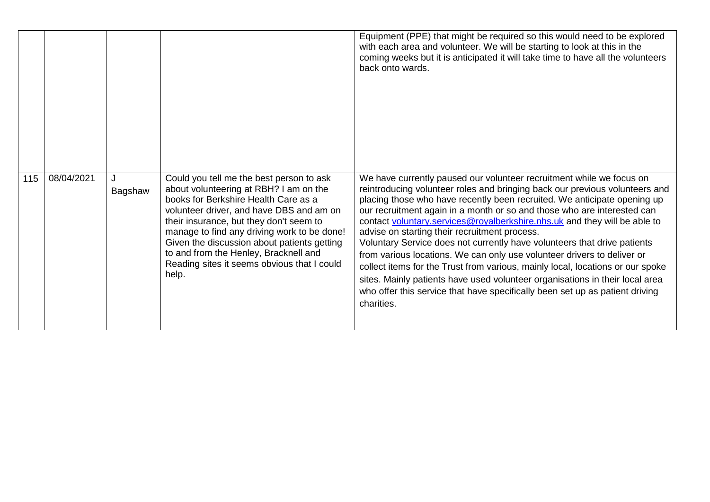|     |            |              |                                                                                                                                                                                                                                                                                                                                                                                                                  | Equipment (PPE) that might be required so this would need to be explored<br>with each area and volunteer. We will be starting to look at this in the<br>coming weeks but it is anticipated it will take time to have all the volunteers<br>back onto wards.                                                                                                                                                                                                                                                                                                                                                                                                                                                                                                                                                                                                     |
|-----|------------|--------------|------------------------------------------------------------------------------------------------------------------------------------------------------------------------------------------------------------------------------------------------------------------------------------------------------------------------------------------------------------------------------------------------------------------|-----------------------------------------------------------------------------------------------------------------------------------------------------------------------------------------------------------------------------------------------------------------------------------------------------------------------------------------------------------------------------------------------------------------------------------------------------------------------------------------------------------------------------------------------------------------------------------------------------------------------------------------------------------------------------------------------------------------------------------------------------------------------------------------------------------------------------------------------------------------|
| 115 | 08/04/2021 | J<br>Bagshaw | Could you tell me the best person to ask<br>about volunteering at RBH? I am on the<br>books for Berkshire Health Care as a<br>volunteer driver, and have DBS and am on<br>their insurance, but they don't seem to<br>manage to find any driving work to be done!<br>Given the discussion about patients getting<br>to and from the Henley, Bracknell and<br>Reading sites it seems obvious that I could<br>help. | We have currently paused our volunteer recruitment while we focus on<br>reintroducing volunteer roles and bringing back our previous volunteers and<br>placing those who have recently been recruited. We anticipate opening up<br>our recruitment again in a month or so and those who are interested can<br>contact voluntary.services@royalberkshire.nhs.uk and they will be able to<br>advise on starting their recruitment process.<br>Voluntary Service does not currently have volunteers that drive patients<br>from various locations. We can only use volunteer drivers to deliver or<br>collect items for the Trust from various, mainly local, locations or our spoke<br>sites. Mainly patients have used volunteer organisations in their local area<br>who offer this service that have specifically been set up as patient driving<br>charities. |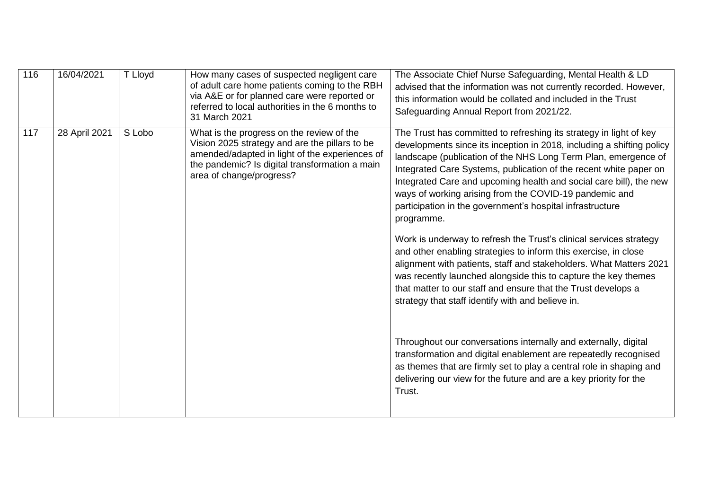| 116 | 16/04/2021    | T Lloyd | How many cases of suspected negligent care<br>of adult care home patients coming to the RBH<br>via A&E or for planned care were reported or<br>referred to local authorities in the 6 months to<br>31 March 2021            | The Associate Chief Nurse Safeguarding, Mental Health & LD<br>advised that the information was not currently recorded. However,<br>this information would be collated and included in the Trust<br>Safeguarding Annual Report from 2021/22.                                                                                                                                                                                                                                                                                                                                                                                                                                                                                                                                                                                                                                                                                                                                                                                                                                                                                                                                                      |
|-----|---------------|---------|-----------------------------------------------------------------------------------------------------------------------------------------------------------------------------------------------------------------------------|--------------------------------------------------------------------------------------------------------------------------------------------------------------------------------------------------------------------------------------------------------------------------------------------------------------------------------------------------------------------------------------------------------------------------------------------------------------------------------------------------------------------------------------------------------------------------------------------------------------------------------------------------------------------------------------------------------------------------------------------------------------------------------------------------------------------------------------------------------------------------------------------------------------------------------------------------------------------------------------------------------------------------------------------------------------------------------------------------------------------------------------------------------------------------------------------------|
| 117 | 28 April 2021 | S Lobo  | What is the progress on the review of the<br>Vision 2025 strategy and are the pillars to be<br>amended/adapted in light of the experiences of<br>the pandemic? Is digital transformation a main<br>area of change/progress? | The Trust has committed to refreshing its strategy in light of key<br>developments since its inception in 2018, including a shifting policy<br>landscape (publication of the NHS Long Term Plan, emergence of<br>Integrated Care Systems, publication of the recent white paper on<br>Integrated Care and upcoming health and social care bill), the new<br>ways of working arising from the COVID-19 pandemic and<br>participation in the government's hospital infrastructure<br>programme.<br>Work is underway to refresh the Trust's clinical services strategy<br>and other enabling strategies to inform this exercise, in close<br>alignment with patients, staff and stakeholders. What Matters 2021<br>was recently launched alongside this to capture the key themes<br>that matter to our staff and ensure that the Trust develops a<br>strategy that staff identify with and believe in.<br>Throughout our conversations internally and externally, digital<br>transformation and digital enablement are repeatedly recognised<br>as themes that are firmly set to play a central role in shaping and<br>delivering our view for the future and are a key priority for the<br>Trust. |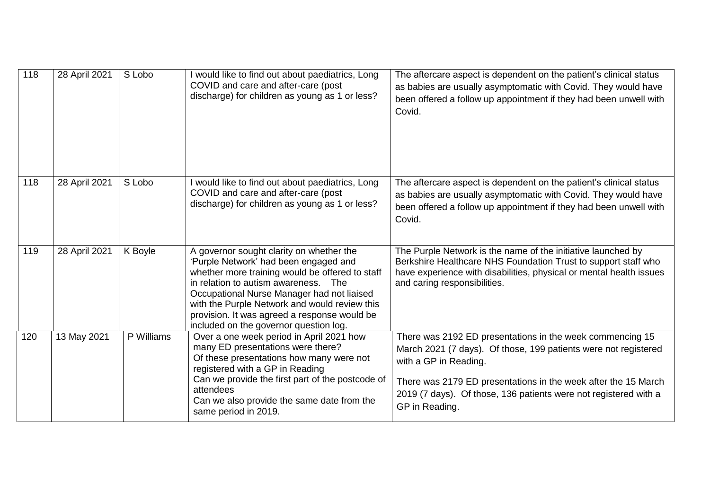| 118 | 28 April 2021 | S Lobo     | I would like to find out about paediatrics, Long<br>COVID and care and after-care (post<br>discharge) for children as young as 1 or less?                                                                                                                                                                                                                             | The aftercare aspect is dependent on the patient's clinical status<br>as babies are usually asymptomatic with Covid. They would have<br>been offered a follow up appointment if they had been unwell with<br>Covid.                                                                                           |
|-----|---------------|------------|-----------------------------------------------------------------------------------------------------------------------------------------------------------------------------------------------------------------------------------------------------------------------------------------------------------------------------------------------------------------------|---------------------------------------------------------------------------------------------------------------------------------------------------------------------------------------------------------------------------------------------------------------------------------------------------------------|
| 118 | 28 April 2021 | S Lobo     | I would like to find out about paediatrics, Long<br>COVID and care and after-care (post<br>discharge) for children as young as 1 or less?                                                                                                                                                                                                                             | The aftercare aspect is dependent on the patient's clinical status<br>as babies are usually asymptomatic with Covid. They would have<br>been offered a follow up appointment if they had been unwell with<br>Covid.                                                                                           |
| 119 | 28 April 2021 | K Boyle    | A governor sought clarity on whether the<br>'Purple Network' had been engaged and<br>whether more training would be offered to staff<br>in relation to autism awareness. The<br>Occupational Nurse Manager had not liaised<br>with the Purple Network and would review this<br>provision. It was agreed a response would be<br>included on the governor question log. | The Purple Network is the name of the initiative launched by<br>Berkshire Healthcare NHS Foundation Trust to support staff who<br>have experience with disabilities, physical or mental health issues<br>and caring responsibilities.                                                                         |
| 120 | 13 May 2021   | P Williams | Over a one week period in April 2021 how<br>many ED presentations were there?<br>Of these presentations how many were not<br>registered with a GP in Reading<br>Can we provide the first part of the postcode of<br>attendees<br>Can we also provide the same date from the<br>same period in 2019.                                                                   | There was 2192 ED presentations in the week commencing 15<br>March 2021 (7 days). Of those, 199 patients were not registered<br>with a GP in Reading.<br>There was 2179 ED presentations in the week after the 15 March<br>2019 (7 days). Of those, 136 patients were not registered with a<br>GP in Reading. |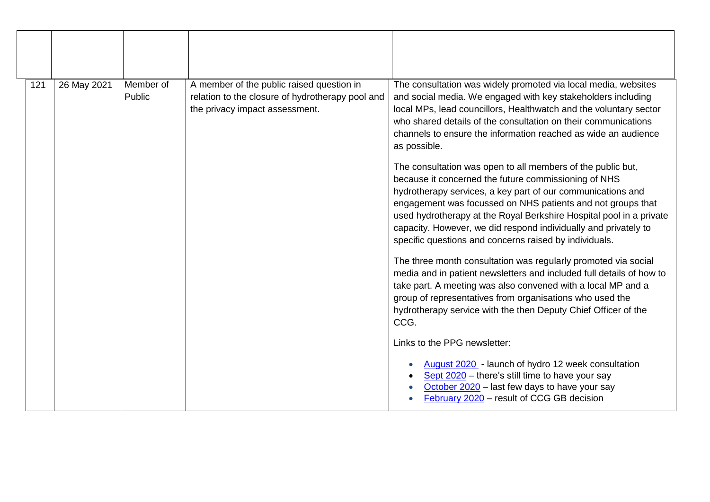| 121 | 26 May 2021 | Member of<br>Public | A member of the public raised question in<br>relation to the closure of hydrotherapy pool and<br>the privacy impact assessment. | The consultation was widely promoted via local media, websites<br>and social media. We engaged with key stakeholders including<br>local MPs, lead councillors, Healthwatch and the voluntary sector<br>who shared details of the consultation on their communications<br>channels to ensure the information reached as wide an audience<br>as possible.                                                                                               |
|-----|-------------|---------------------|---------------------------------------------------------------------------------------------------------------------------------|-------------------------------------------------------------------------------------------------------------------------------------------------------------------------------------------------------------------------------------------------------------------------------------------------------------------------------------------------------------------------------------------------------------------------------------------------------|
|     |             |                     |                                                                                                                                 | The consultation was open to all members of the public but,<br>because it concerned the future commissioning of NHS<br>hydrotherapy services, a key part of our communications and<br>engagement was focussed on NHS patients and not groups that<br>used hydrotherapy at the Royal Berkshire Hospital pool in a private<br>capacity. However, we did respond individually and privately to<br>specific questions and concerns raised by individuals. |
|     |             |                     |                                                                                                                                 | The three month consultation was regularly promoted via social<br>media and in patient newsletters and included full details of how to<br>take part. A meeting was also convened with a local MP and a<br>group of representatives from organisations who used the<br>hydrotherapy service with the then Deputy Chief Officer of the<br>CCG.                                                                                                          |
|     |             |                     |                                                                                                                                 | Links to the PPG newsletter:<br>August 2020 - launch of hydro 12 week consultation<br>Sept 2020 – there's still time to have your say<br>October 2020 - last few days to have your say<br>February 2020 - result of CCG GB decision                                                                                                                                                                                                                   |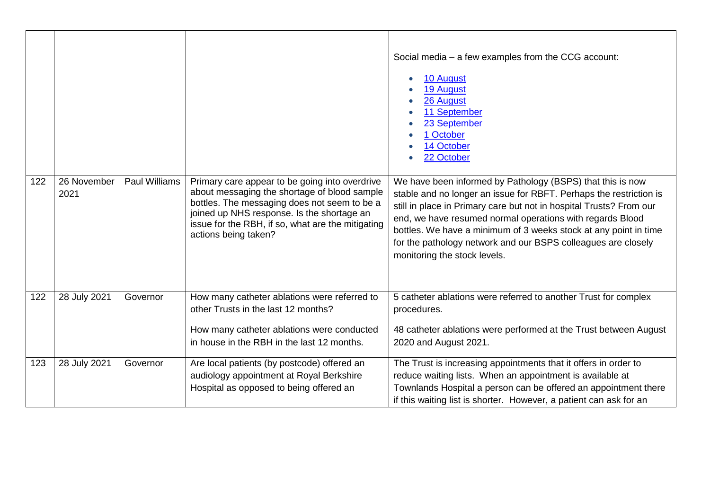|     |                     |                      |                                                                                                                                                                                                                                                                           | Social media – a few examples from the CCG account:<br>10 August<br>19 August<br>26 August<br>11 September<br>23 September<br>1 October<br>14 October<br>22 October                                                                                                                                                                                                                                                                       |
|-----|---------------------|----------------------|---------------------------------------------------------------------------------------------------------------------------------------------------------------------------------------------------------------------------------------------------------------------------|-------------------------------------------------------------------------------------------------------------------------------------------------------------------------------------------------------------------------------------------------------------------------------------------------------------------------------------------------------------------------------------------------------------------------------------------|
| 122 | 26 November<br>2021 | <b>Paul Williams</b> | Primary care appear to be going into overdrive<br>about messaging the shortage of blood sample<br>bottles. The messaging does not seem to be a<br>joined up NHS response. Is the shortage an<br>issue for the RBH, if so, what are the mitigating<br>actions being taken? | We have been informed by Pathology (BSPS) that this is now<br>stable and no longer an issue for RBFT. Perhaps the restriction is<br>still in place in Primary care but not in hospital Trusts? From our<br>end, we have resumed normal operations with regards Blood<br>bottles. We have a minimum of 3 weeks stock at any point in time<br>for the pathology network and our BSPS colleagues are closely<br>monitoring the stock levels. |
| 122 | 28 July 2021        | Governor             | How many catheter ablations were referred to<br>other Trusts in the last 12 months?<br>How many catheter ablations were conducted<br>in house in the RBH in the last 12 months.                                                                                           | 5 catheter ablations were referred to another Trust for complex<br>procedures.<br>48 catheter ablations were performed at the Trust between August<br>2020 and August 2021.                                                                                                                                                                                                                                                               |
| 123 | 28 July 2021        | Governor             | Are local patients (by postcode) offered an<br>audiology appointment at Royal Berkshire<br>Hospital as opposed to being offered an                                                                                                                                        | The Trust is increasing appointments that it offers in order to<br>reduce waiting lists. When an appointment is available at<br>Townlands Hospital a person can be offered an appointment there<br>if this waiting list is shorter. However, a patient can ask for an                                                                                                                                                                     |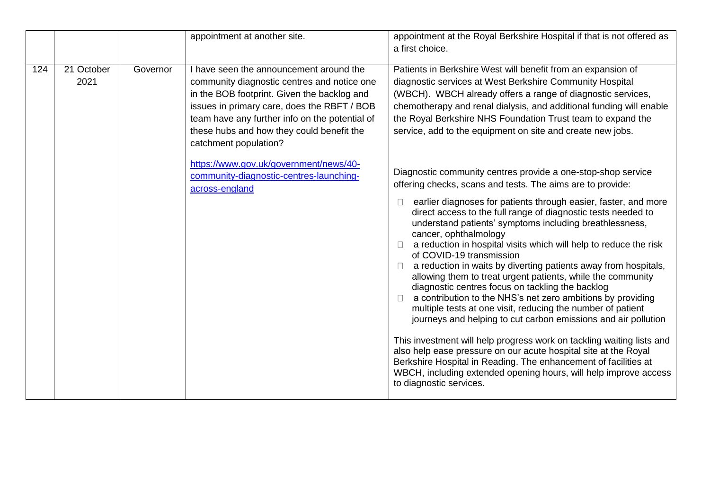|     |                    |          | appointment at another site.                                                                                                                                                                                                                                                                                                                           | appointment at the Royal Berkshire Hospital if that is not offered as<br>a first choice.                                                                                                                                                                                                                                                                                                                                                                                                                                                                                                                                                                                                                                                                                                                                                                                                                                                                                                                                                                                                                                                                |
|-----|--------------------|----------|--------------------------------------------------------------------------------------------------------------------------------------------------------------------------------------------------------------------------------------------------------------------------------------------------------------------------------------------------------|---------------------------------------------------------------------------------------------------------------------------------------------------------------------------------------------------------------------------------------------------------------------------------------------------------------------------------------------------------------------------------------------------------------------------------------------------------------------------------------------------------------------------------------------------------------------------------------------------------------------------------------------------------------------------------------------------------------------------------------------------------------------------------------------------------------------------------------------------------------------------------------------------------------------------------------------------------------------------------------------------------------------------------------------------------------------------------------------------------------------------------------------------------|
| 124 | 21 October<br>2021 | Governor | I have seen the announcement around the<br>community diagnostic centres and notice one<br>in the BOB footprint. Given the backlog and<br>issues in primary care, does the RBFT / BOB<br>team have any further info on the potential of<br>these hubs and how they could benefit the<br>catchment population?<br>https://www.gov.uk/government/news/40- | Patients in Berkshire West will benefit from an expansion of<br>diagnostic services at West Berkshire Community Hospital<br>(WBCH). WBCH already offers a range of diagnostic services,<br>chemotherapy and renal dialysis, and additional funding will enable<br>the Royal Berkshire NHS Foundation Trust team to expand the<br>service, add to the equipment on site and create new jobs.                                                                                                                                                                                                                                                                                                                                                                                                                                                                                                                                                                                                                                                                                                                                                             |
|     |                    |          | community-diagnostic-centres-launching-<br>across-england                                                                                                                                                                                                                                                                                              | Diagnostic community centres provide a one-stop-shop service<br>offering checks, scans and tests. The aims are to provide:<br>earlier diagnoses for patients through easier, faster, and more<br>direct access to the full range of diagnostic tests needed to<br>understand patients' symptoms including breathlessness,<br>cancer, ophthalmology<br>a reduction in hospital visits which will help to reduce the risk<br>of COVID-19 transmission<br>a reduction in waits by diverting patients away from hospitals,<br>allowing them to treat urgent patients, while the community<br>diagnostic centres focus on tackling the backlog<br>a contribution to the NHS's net zero ambitions by providing<br>multiple tests at one visit, reducing the number of patient<br>journeys and helping to cut carbon emissions and air pollution<br>This investment will help progress work on tackling waiting lists and<br>also help ease pressure on our acute hospital site at the Royal<br>Berkshire Hospital in Reading. The enhancement of facilities at<br>WBCH, including extended opening hours, will help improve access<br>to diagnostic services. |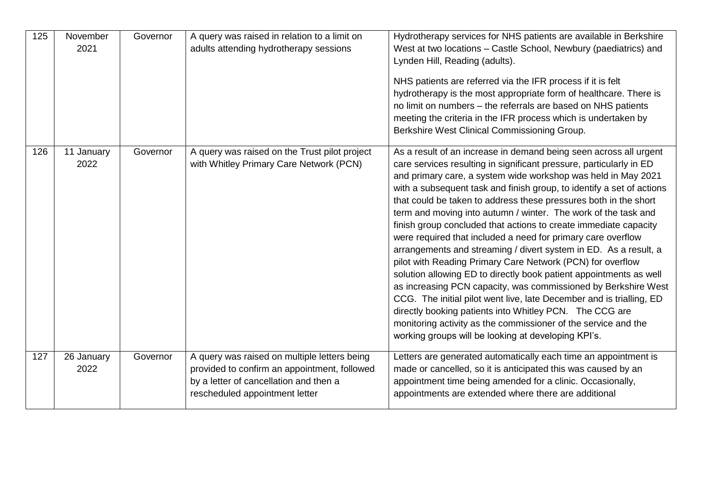| 125 | November<br>2021   | Governor | A query was raised in relation to a limit on<br>adults attending hydrotherapy sessions                                                                                   | Hydrotherapy services for NHS patients are available in Berkshire<br>West at two locations - Castle School, Newbury (paediatrics) and<br>Lynden Hill, Reading (adults).<br>NHS patients are referred via the IFR process if it is felt<br>hydrotherapy is the most appropriate form of healthcare. There is<br>no limit on numbers - the referrals are based on NHS patients<br>meeting the criteria in the IFR process which is undertaken by<br>Berkshire West Clinical Commissioning Group.                                                                                                                                                                                                                                                                                                                                                                                                                                                                                                                                                                                                     |
|-----|--------------------|----------|--------------------------------------------------------------------------------------------------------------------------------------------------------------------------|----------------------------------------------------------------------------------------------------------------------------------------------------------------------------------------------------------------------------------------------------------------------------------------------------------------------------------------------------------------------------------------------------------------------------------------------------------------------------------------------------------------------------------------------------------------------------------------------------------------------------------------------------------------------------------------------------------------------------------------------------------------------------------------------------------------------------------------------------------------------------------------------------------------------------------------------------------------------------------------------------------------------------------------------------------------------------------------------------|
| 126 | 11 January<br>2022 | Governor | A query was raised on the Trust pilot project<br>with Whitley Primary Care Network (PCN)                                                                                 | As a result of an increase in demand being seen across all urgent<br>care services resulting in significant pressure, particularly in ED<br>and primary care, a system wide workshop was held in May 2021<br>with a subsequent task and finish group, to identify a set of actions<br>that could be taken to address these pressures both in the short<br>term and moving into autumn / winter. The work of the task and<br>finish group concluded that actions to create immediate capacity<br>were required that included a need for primary care overflow<br>arrangements and streaming / divert system in ED. As a result, a<br>pilot with Reading Primary Care Network (PCN) for overflow<br>solution allowing ED to directly book patient appointments as well<br>as increasing PCN capacity, was commissioned by Berkshire West<br>CCG. The initial pilot went live, late December and is trialling, ED<br>directly booking patients into Whitley PCN. The CCG are<br>monitoring activity as the commissioner of the service and the<br>working groups will be looking at developing KPI's. |
| 127 | 26 January<br>2022 | Governor | A query was raised on multiple letters being<br>provided to confirm an appointment, followed<br>by a letter of cancellation and then a<br>rescheduled appointment letter | Letters are generated automatically each time an appointment is<br>made or cancelled, so it is anticipated this was caused by an<br>appointment time being amended for a clinic. Occasionally,<br>appointments are extended where there are additional                                                                                                                                                                                                                                                                                                                                                                                                                                                                                                                                                                                                                                                                                                                                                                                                                                             |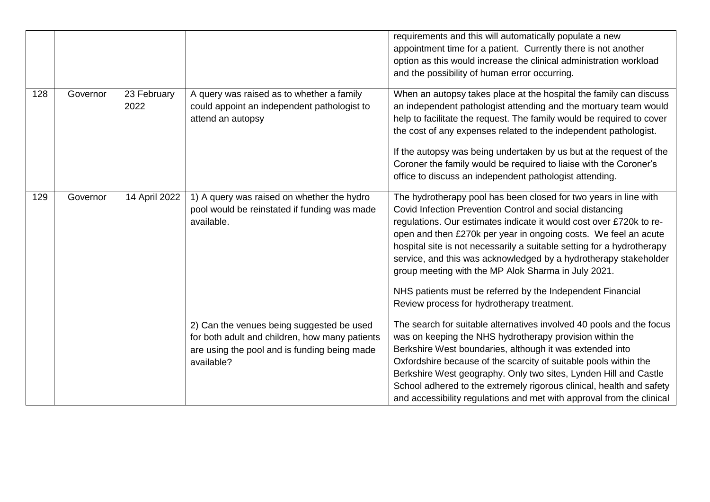|     |          |                     |                                                                                                                                                           | requirements and this will automatically populate a new<br>appointment time for a patient. Currently there is not another<br>option as this would increase the clinical administration workload<br>and the possibility of human error occurring.                                                                                                                                                                                                                                           |
|-----|----------|---------------------|-----------------------------------------------------------------------------------------------------------------------------------------------------------|--------------------------------------------------------------------------------------------------------------------------------------------------------------------------------------------------------------------------------------------------------------------------------------------------------------------------------------------------------------------------------------------------------------------------------------------------------------------------------------------|
| 128 | Governor | 23 February<br>2022 | A query was raised as to whether a family<br>could appoint an independent pathologist to<br>attend an autopsy                                             | When an autopsy takes place at the hospital the family can discuss<br>an independent pathologist attending and the mortuary team would<br>help to facilitate the request. The family would be required to cover<br>the cost of any expenses related to the independent pathologist.<br>If the autopsy was being undertaken by us but at the request of the<br>Coroner the family would be required to liaise with the Coroner's<br>office to discuss an independent pathologist attending. |
| 129 | Governor | 14 April 2022       | 1) A query was raised on whether the hydro<br>pool would be reinstated if funding was made<br>available.                                                  | The hydrotherapy pool has been closed for two years in line with<br>Covid Infection Prevention Control and social distancing<br>regulations. Our estimates indicate it would cost over £720k to re-<br>open and then £270k per year in ongoing costs. We feel an acute<br>hospital site is not necessarily a suitable setting for a hydrotherapy<br>service, and this was acknowledged by a hydrotherapy stakeholder<br>group meeting with the MP Alok Sharma in July 2021.                |
|     |          |                     |                                                                                                                                                           | NHS patients must be referred by the Independent Financial<br>Review process for hydrotherapy treatment.                                                                                                                                                                                                                                                                                                                                                                                   |
|     |          |                     | 2) Can the venues being suggested be used<br>for both adult and children, how many patients<br>are using the pool and is funding being made<br>available? | The search for suitable alternatives involved 40 pools and the focus<br>was on keeping the NHS hydrotherapy provision within the<br>Berkshire West boundaries, although it was extended into<br>Oxfordshire because of the scarcity of suitable pools within the<br>Berkshire West geography. Only two sites, Lynden Hill and Castle<br>School adhered to the extremely rigorous clinical, health and safety<br>and accessibility regulations and met with approval from the clinical      |